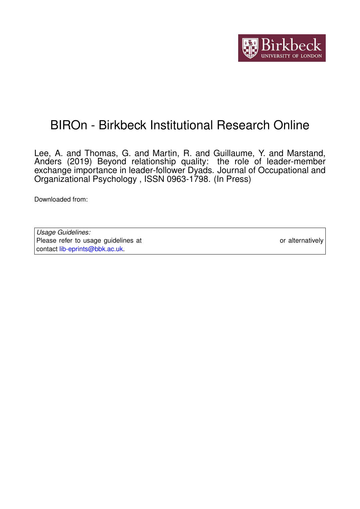

# BIROn - Birkbeck Institutional Research Online

Lee, A. and Thomas, G. and Martin, R. and Guillaume, Y. and Marstand, Anders (2019) Beyond relationship quality: the role of leader-member exchange importance in leader-follower Dyads. Journal of Occupational and Organizational Psychology , ISSN 0963-1798. (In Press)

Downloaded from: <https://eprints.bbk.ac.uk/id/eprint/26505/>

*Usage Guidelines:* Please refer to usage guidelines at <https://eprints.bbk.ac.uk/policies.html> or alternatively contact [lib-eprints@bbk.ac.uk.](mailto:lib-eprints@bbk.ac.uk)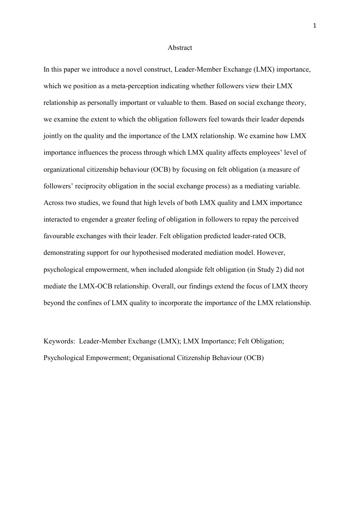#### Abstract

In this paper we introduce a novel construct, Leader-Member Exchange (LMX) importance, which we position as a meta-perception indicating whether followers view their LMX relationship as personally important or valuable to them. Based on social exchange theory, we examine the extent to which the obligation followers feel towards their leader depends jointly on the quality and the importance of the LMX relationship. We examine how LMX importance influences the process through which LMX quality affects employees' level of organizational citizenship behaviour (OCB) by focusing on felt obligation (a measure of followers' reciprocity obligation in the social exchange process) as a mediating variable. Across two studies, we found that high levels of both LMX quality and LMX importance interacted to engender a greater feeling of obligation in followers to repay the perceived favourable exchanges with their leader. Felt obligation predicted leader-rated OCB, demonstrating support for our hypothesised moderated mediation model. However, psychological empowerment, when included alongside felt obligation (in Study 2) did not mediate the LMX-OCB relationship. Overall, our findings extend the focus of LMX theory beyond the confines of LMX quality to incorporate the importance of the LMX relationship.

Keywords: Leader-Member Exchange (LMX); LMX Importance; Felt Obligation; Psychological Empowerment; Organisational Citizenship Behaviour (OCB)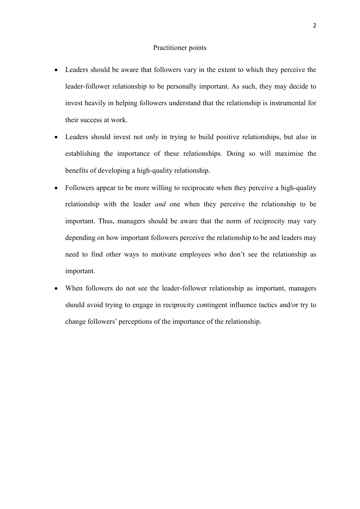#### Practitioner points

- Leaders should be aware that followers vary in the extent to which they perceive the leader-follower relationship to be personally important. As such, they may decide to invest heavily in helping followers understand that the relationship is instrumental for their success at work.
- Leaders should invest not only in trying to build positive relationships, but also in establishing the importance of these relationships. Doing so will maximise the benefits of developing a high-quality relationship.
- Followers appear to be more willing to reciprocate when they perceive a high-quality relationship with the leader *and* one when they perceive the relationship to be important. Thus, managers should be aware that the norm of reciprocity may vary depending on how important followers perceive the relationship to be and leaders may need to find other ways to motivate employees who don't see the relationship as important.
- When followers do not see the leader-follower relationship as important, managers should avoid trying to engage in reciprocity contingent influence tactics and/or try to change followers' perceptions of the importance of the relationship.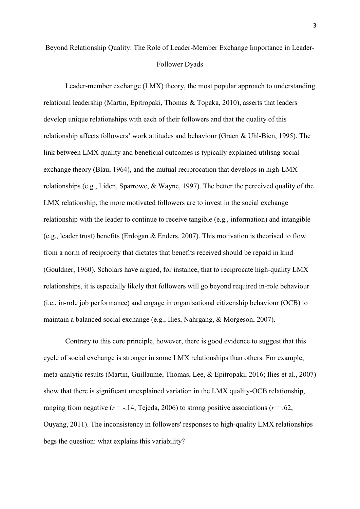## Beyond Relationship Quality: The Role of Leader-Member Exchange Importance in Leader-Follower Dyads

Leader-member exchange (LMX) theory, the most popular approach to understanding relational leadership (Martin, Epitropaki, Thomas & Topaka, 2010), asserts that leaders develop unique relationships with each of their followers and that the quality of this relationship affects followers' work attitudes and behaviour (Graen & Uhl-Bien, 1995). The link between LMX quality and beneficial outcomes is typically explained utilisng social exchange theory (Blau, 1964), and the mutual reciprocation that develops in high-LMX relationships (e.g., Liden, Sparrowe, & Wayne, 1997). The better the perceived quality of the LMX relationship, the more motivated followers are to invest in the social exchange relationship with the leader to continue to receive tangible (e.g., information) and intangible (e.g., leader trust) benefits (Erdogan & Enders, 2007). This motivation is theorised to flow from a norm of reciprocity that dictates that benefits received should be repaid in kind (Gouldner, 1960). Scholars have argued, for instance, that to reciprocate high-quality LMX relationships, it is especially likely that followers will go beyond required in-role behaviour (i.e., in-role job performance) and engage in organisational citizenship behaviour (OCB) to maintain a balanced social exchange (e.g., Ilies, Nahrgang, & Morgeson, 2007).

Contrary to this core principle, however, there is good evidence to suggest that this cycle of social exchange is stronger in some LMX relationships than others. For example, meta-analytic results (Martin, Guillaume, Thomas, Lee, & Epitropaki, 2016; Ilies et al., 2007) show that there is significant unexplained variation in the LMX quality-OCB relationship, ranging from negative  $(r = -14, T$ ejeda, 2006) to strong positive associations  $(r = .62, T)$ Ouyang, 2011). The inconsistency in followers' responses to high-quality LMX relationships begs the question: what explains this variability?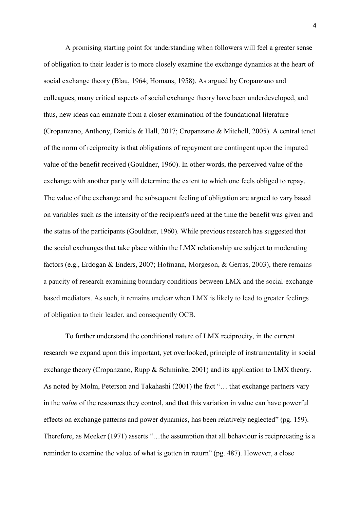A promising starting point for understanding when followers will feel a greater sense of obligation to their leader is to more closely examine the exchange dynamics at the heart of social exchange theory (Blau, 1964; Homans, 1958). As argued by Cropanzano and colleagues, many critical aspects of social exchange theory have been underdeveloped, and thus, new ideas can emanate from a closer examination of the foundational literature (Cropanzano, Anthony, Daniels & Hall, 2017; Cropanzano & Mitchell, 2005). A central tenet of the norm of reciprocity is that obligations of repayment are contingent upon the imputed value of the benefit received (Gouldner, 1960). In other words, the perceived value of the exchange with another party will determine the extent to which one feels obliged to repay. The value of the exchange and the subsequent feeling of obligation are argued to vary based on variables such as the intensity of the recipient's need at the time the benefit was given and the status of the participants (Gouldner, 1960). While previous research has suggested that the social exchanges that take place within the LMX relationship are subject to moderating factors (e.g., Erdogan & Enders, 2007; Hofmann, Morgeson, & Gerras, 2003), there remains a paucity of research examining boundary conditions between LMX and the social-exchange based mediators. As such, it remains unclear when LMX is likely to lead to greater feelings of obligation to their leader, and consequently OCB.

To further understand the conditional nature of LMX reciprocity, in the current research we expand upon this important, yet overlooked, principle of instrumentality in social exchange theory (Cropanzano, Rupp & Schminke, 2001) and its application to LMX theory. As noted by Molm, Peterson and Takahashi (2001) the fact "… that exchange partners vary in the *value* of the resources they control, and that this variation in value can have powerful effects on exchange patterns and power dynamics, has been relatively neglected" (pg. 159). Therefore, as Meeker (1971) asserts "…the assumption that all behaviour is reciprocating is a reminder to examine the value of what is gotten in return" (pg. 487). However, a close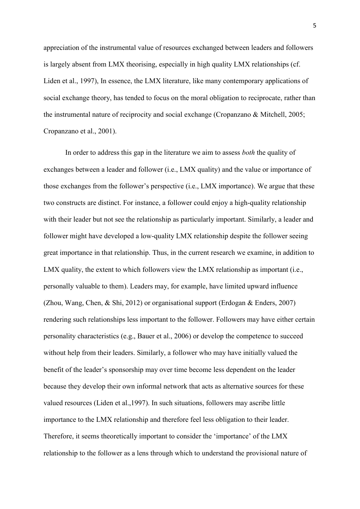appreciation of the instrumental value of resources exchanged between leaders and followers is largely absent from LMX theorising, especially in high quality LMX relationships (cf. Liden et al., 1997), In essence, the LMX literature, like many contemporary applications of social exchange theory, has tended to focus on the moral obligation to reciprocate, rather than the instrumental nature of reciprocity and social exchange (Cropanzano & Mitchell, 2005; Cropanzano et al., 2001).

In order to address this gap in the literature we aim to assess *both* the quality of exchanges between a leader and follower (i.e., LMX quality) and the value or importance of those exchanges from the follower's perspective (i.e., LMX importance). We argue that these two constructs are distinct. For instance, a follower could enjoy a high-quality relationship with their leader but not see the relationship as particularly important. Similarly, a leader and follower might have developed a low-quality LMX relationship despite the follower seeing great importance in that relationship. Thus, in the current research we examine, in addition to LMX quality, the extent to which followers view the LMX relationship as important (i.e., personally valuable to them). Leaders may, for example, have limited upward influence (Zhou, Wang, Chen, & Shi, 2012) or organisational support (Erdogan & Enders, 2007) rendering such relationships less important to the follower. Followers may have either certain personality characteristics (e.g., Bauer et al., 2006) or develop the competence to succeed without help from their leaders. Similarly, a follower who may have initially valued the benefit of the leader's sponsorship may over time become less dependent on the leader because they develop their own informal network that acts as alternative sources for these valued resources (Liden et al.,1997). In such situations, followers may ascribe little importance to the LMX relationship and therefore feel less obligation to their leader. Therefore, it seems theoretically important to consider the 'importance' of the LMX relationship to the follower as a lens through which to understand the provisional nature of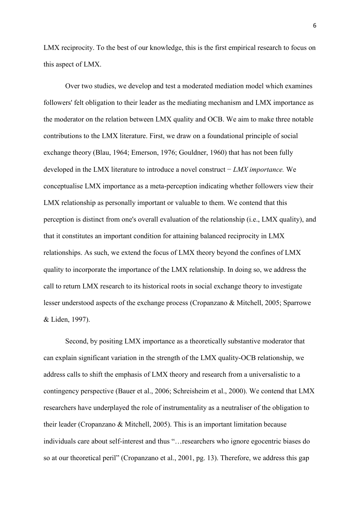LMX reciprocity. To the best of our knowledge, this is the first empirical research to focus on this aspect of LMX.

Over two studies, we develop and test a moderated mediation model which examines followers' felt obligation to their leader as the mediating mechanism and LMX importance as the moderator on the relation between LMX quality and OCB. We aim to make three notable contributions to the LMX literature. First, we draw on a foundational principle of social exchange theory (Blau, 1964; Emerson, 1976; Gouldner, 1960) that has not been fully developed in the LMX literature to introduce a novel construct − *LMX importance.* We conceptualise LMX importance as a meta-perception indicating whether followers view their LMX relationship as personally important or valuable to them. We contend that this perception is distinct from one's overall evaluation of the relationship (i.e., LMX quality), and that it constitutes an important condition for attaining balanced reciprocity in LMX relationships. As such, we extend the focus of LMX theory beyond the confines of LMX quality to incorporate the importance of the LMX relationship. In doing so, we address the call to return LMX research to its historical roots in social exchange theory to investigate lesser understood aspects of the exchange process (Cropanzano & Mitchell, 2005; Sparrowe & Liden, 1997).

Second, by positing LMX importance as a theoretically substantive moderator that can explain significant variation in the strength of the LMX quality-OCB relationship, we address calls to shift the emphasis of LMX theory and research from a universalistic to a contingency perspective (Bauer et al., 2006; Schreisheim et al., 2000). We contend that LMX researchers have underplayed the role of instrumentality as a neutraliser of the obligation to their leader (Cropanzano & Mitchell, 2005). This is an important limitation because individuals care about self-interest and thus "…researchers who ignore egocentric biases do so at our theoretical peril" (Cropanzano et al., 2001, pg. 13). Therefore, we address this gap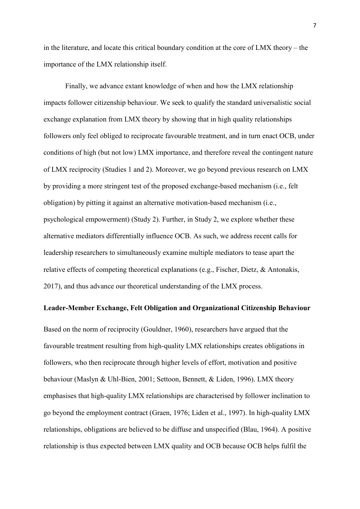in the literature, and locate this critical boundary condition at the core of LMX theory – the importance of the LMX relationship itself.

Finally, we advance extant knowledge of when and how the LMX relationship impacts follower citizenship behaviour. We seek to qualify the standard universalistic social exchange explanation from LMX theory by showing that in high quality relationships followers only feel obliged to reciprocate favourable treatment, and in turn enact OCB, under conditions of high (but not low) LMX importance, and therefore reveal the contingent nature of LMX reciprocity (Studies 1 and 2). Moreover, we go beyond previous research on LMX by providing a more stringent test of the proposed exchange-based mechanism (i.e., felt obligation) by pitting it against an alternative motivation-based mechanism (i.e., psychological empowerment) (Study 2). Further, in Study 2, we explore whether these alternative mediators differentially influence OCB. As such, we address recent calls for leadership researchers to simultaneously examine multiple mediators to tease apart the relative effects of competing theoretical explanations (e.g., Fischer, Dietz, & Antonakis, 2017), and thus advance our theoretical understanding of the LMX process.

## **Leader-Member Exchange, Felt Obligation and Organizational Citizenship Behaviour**

Based on the norm of reciprocity (Gouldner, 1960), researchers have argued that the favourable treatment resulting from high-quality LMX relationships creates obligations in followers, who then reciprocate through higher levels of effort, motivation and positive behaviour (Maslyn & Uhl-Bien, 2001; Settoon, Bennett, & Liden, 1996). LMX theory emphasises that high-quality LMX relationships are characterised by follower inclination to go beyond the employment contract (Graen, 1976; Liden et al., 1997). In high-quality LMX relationships, obligations are believed to be diffuse and unspecified (Blau, 1964). A positive relationship is thus expected between LMX quality and OCB because OCB helps fulfil the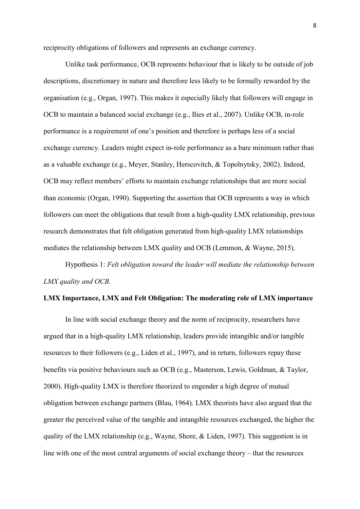reciprocity obligations of followers and represents an exchange currency.

Unlike task performance, OCB represents behaviour that is likely to be outside of job descriptions, discretionary in nature and therefore less likely to be formally rewarded by the organisation (e.g., Organ, 1997). This makes it especially likely that followers will engage in OCB to maintain a balanced social exchange (e.g., Ilies et al., 2007). Unlike OCB, in-role performance is a requirement of one's position and therefore is perhaps less of a social exchange currency. Leaders might expect in-role performance as a bare minimum rather than as a valuable exchange (e.g., Meyer, Stanley, Herscovitch, & Topolnytsky, 2002). Indeed, OCB may reflect members' efforts to maintain exchange relationships that are more social than economic (Organ, 1990). Supporting the assertion that OCB represents a way in which followers can meet the obligations that result from a high-quality LMX relationship, previous research demonstrates that felt obligation generated from high-quality LMX relationships mediates the relationship between LMX quality and OCB (Lemmon, & Wayne, 2015).

Hypothesis 1: *Felt obligation toward the leader will mediate the relationship between LMX quality and OCB.*

### **LMX Importance, LMX and Felt Obligation: The moderating role of LMX importance**

In line with social exchange theory and the norm of reciprocity, researchers have argued that in a high-quality LMX relationship, leaders provide intangible and/or tangible resources to their followers (e.g., Liden et al., 1997), and in return, followers repay these benefits via positive behaviours such as OCB (e.g., Masterson, Lewis, Goldman, & Taylor, 2000). High-quality LMX is therefore theorized to engender a high degree of mutual obligation between exchange partners (Blau, 1964). LMX theorists have also argued that the greater the perceived value of the tangible and intangible resources exchanged, the higher the quality of the LMX relationship (e.g., Wayne, Shore, & Liden, 1997). This suggestion is in line with one of the most central arguments of social exchange theory – that the resources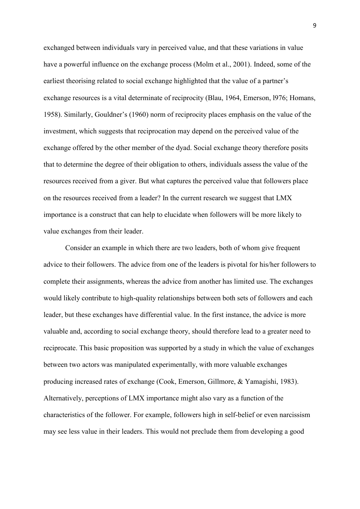exchanged between individuals vary in perceived value, and that these variations in value have a powerful influence on the exchange process (Molm et al., 2001). Indeed, some of the earliest theorising related to social exchange highlighted that the value of a partner's exchange resources is a vital determinate of reciprocity (Blau, 1964, Emerson, l976; Homans, 1958). Similarly, Gouldner's (1960) norm of reciprocity places emphasis on the value of the investment, which suggests that reciprocation may depend on the perceived value of the exchange offered by the other member of the dyad. Social exchange theory therefore posits that to determine the degree of their obligation to others, individuals assess the value of the resources received from a giver. But what captures the perceived value that followers place on the resources received from a leader? In the current research we suggest that LMX importance is a construct that can help to elucidate when followers will be more likely to value exchanges from their leader.

Consider an example in which there are two leaders, both of whom give frequent advice to their followers. The advice from one of the leaders is pivotal for his/her followers to complete their assignments, whereas the advice from another has limited use. The exchanges would likely contribute to high-quality relationships between both sets of followers and each leader, but these exchanges have differential value. In the first instance, the advice is more valuable and, according to social exchange theory, should therefore lead to a greater need to reciprocate. This basic proposition was supported by a study in which the value of exchanges between two actors was manipulated experimentally, with more valuable exchanges producing increased rates of exchange (Cook, Emerson, Gillmore, & Yamagishi, 1983). Alternatively, perceptions of LMX importance might also vary as a function of the characteristics of the follower. For example, followers high in self-belief or even narcissism may see less value in their leaders. This would not preclude them from developing a good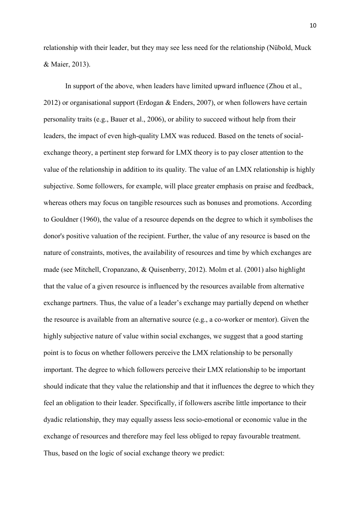relationship with their leader, but they may see less need for the relationship (Nübold, Muck & Maier, 2013).

In support of the above, when leaders have limited upward influence (Zhou et al., 2012) or organisational support (Erdogan & Enders, 2007), or when followers have certain personality traits (e.g., Bauer et al., 2006), or ability to succeed without help from their leaders, the impact of even high-quality LMX was reduced. Based on the tenets of socialexchange theory, a pertinent step forward for LMX theory is to pay closer attention to the value of the relationship in addition to its quality. The value of an LMX relationship is highly subjective. Some followers, for example, will place greater emphasis on praise and feedback, whereas others may focus on tangible resources such as bonuses and promotions. According to Gouldner (1960), the value of a resource depends on the degree to which it symbolises the donor's positive valuation of the recipient. Further, the value of any resource is based on the nature of constraints, motives, the availability of resources and time by which exchanges are made (see Mitchell, Cropanzano, & Quisenberry, 2012). Molm et al. (2001) also highlight that the value of a given resource is influenced by the resources available from alternative exchange partners. Thus, the value of a leader's exchange may partially depend on whether the resource is available from an alternative source (e.g., a co-worker or mentor). Given the highly subjective nature of value within social exchanges, we suggest that a good starting point is to focus on whether followers perceive the LMX relationship to be personally important. The degree to which followers perceive their LMX relationship to be important should indicate that they value the relationship and that it influences the degree to which they feel an obligation to their leader. Specifically, if followers ascribe little importance to their dyadic relationship, they may equally assess less socio-emotional or economic value in the exchange of resources and therefore may feel less obliged to repay favourable treatment. Thus, based on the logic of social exchange theory we predict: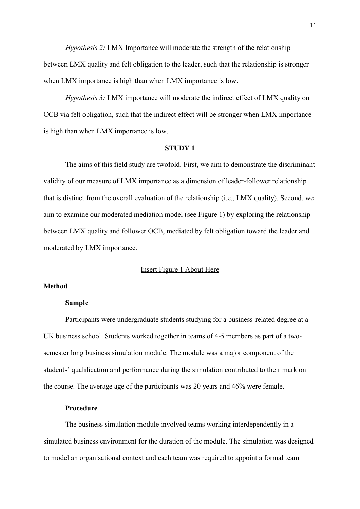*Hypothesis 2:* LMX Importance will moderate the strength of the relationship between LMX quality and felt obligation to the leader, such that the relationship is stronger when LMX importance is high than when LMX importance is low.

*Hypothesis 3:* LMX importance will moderate the indirect effect of LMX quality on OCB via felt obligation, such that the indirect effect will be stronger when LMX importance is high than when LMX importance is low.

#### **STUDY 1**

The aims of this field study are twofold. First, we aim to demonstrate the discriminant validity of our measure of LMX importance as a dimension of leader-follower relationship that is distinct from the overall evaluation of the relationship (i.e., LMX quality). Second, we aim to examine our moderated mediation model (see Figure 1) by exploring the relationship between LMX quality and follower OCB, mediated by felt obligation toward the leader and moderated by LMX importance.

#### Insert Figure 1 About Here

#### **Method**

#### **Sample**

Participants were undergraduate students studying for a business-related degree at a UK business school. Students worked together in teams of 4-5 members as part of a twosemester long business simulation module. The module was a major component of the students' qualification and performance during the simulation contributed to their mark on the course. The average age of the participants was 20 years and 46% were female.

## **Procedure**

The business simulation module involved teams working interdependently in a simulated business environment for the duration of the module. The simulation was designed to model an organisational context and each team was required to appoint a formal team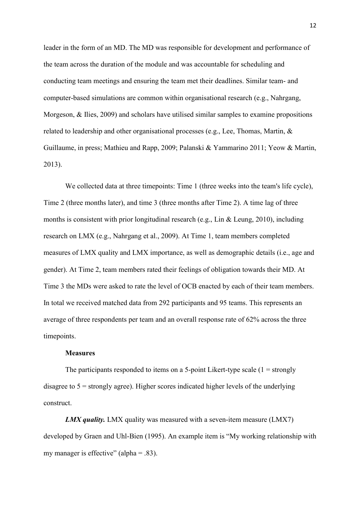leader in the form of an MD. The MD was responsible for development and performance of the team across the duration of the module and was accountable for scheduling and conducting team meetings and ensuring the team met their deadlines. Similar team- and computer-based simulations are common within organisational research (e.g., Nahrgang, Morgeson, & Ilies, 2009) and scholars have utilised similar samples to examine propositions related to leadership and other organisational processes (e.g., Lee, Thomas, Martin, & Guillaume, in press; Mathieu and Rapp, 2009; Palanski & Yammarino 2011; Yeow & Martin, 2013).

We collected data at three timepoints: Time 1 (three weeks into the team's life cycle), Time 2 (three months later), and time 3 (three months after Time 2). A time lag of three months is consistent with prior longitudinal research (e.g., Lin & Leung, 2010), including research on LMX (e.g., Nahrgang et al., 2009). At Time 1, team members completed measures of LMX quality and LMX importance, as well as demographic details (i.e., age and gender). At Time 2, team members rated their feelings of obligation towards their MD. At Time 3 the MDs were asked to rate the level of OCB enacted by each of their team members. In total we received matched data from 292 participants and 95 teams. This represents an average of three respondents per team and an overall response rate of 62% across the three timepoints.

#### **Measures**

The participants responded to items on a 5-point Likert-type scale  $(1 = \text{strongly})$ disagree to 5 = strongly agree). Higher scores indicated higher levels of the underlying construct.

*LMX quality.* LMX quality was measured with a seven-item measure (LMX7) developed by Graen and Uhl-Bien (1995). An example item is "My working relationship with my manager is effective" (alpha  $= .83$ ).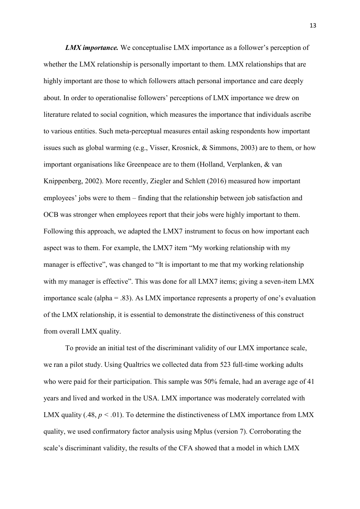*LMX importance.* We conceptualise LMX importance as a follower's perception of whether the LMX relationship is personally important to them. LMX relationships that are highly important are those to which followers attach personal importance and care deeply about. In order to operationalise followers' perceptions of LMX importance we drew on literature related to social cognition, which measures the importance that individuals ascribe to various entities. Such meta-perceptual measures entail asking respondents how important issues such as global warming (e.g., Visser, Krosnick, & Simmons, 2003) are to them, or how important organisations like Greenpeace are to them (Holland, Verplanken, & van Knippenberg, 2002). More recently, Ziegler and Schlett (2016) measured how important employees' jobs were to them – finding that the relationship between job satisfaction and OCB was stronger when employees report that their jobs were highly important to them. Following this approach, we adapted the LMX7 instrument to focus on how important each aspect was to them. For example, the LMX7 item "My working relationship with my manager is effective", was changed to "It is important to me that my working relationship with my manager is effective". This was done for all LMX7 items; giving a seven-item LMX importance scale (alpha = .83). As LMX importance represents a property of one's evaluation of the LMX relationship, it is essential to demonstrate the distinctiveness of this construct from overall LMX quality.

To provide an initial test of the discriminant validity of our LMX importance scale, we ran a pilot study. Using Qualtrics we collected data from 523 full-time working adults who were paid for their participation. This sample was 50% female, had an average age of 41 years and lived and worked in the USA. LMX importance was moderately correlated with LMX quality (.48,  $p < .01$ ). To determine the distinctiveness of LMX importance from LMX quality, we used confirmatory factor analysis using Mplus (version 7). Corroborating the scale's discriminant validity, the results of the CFA showed that a model in which LMX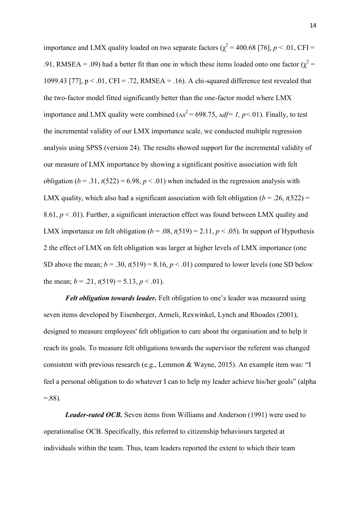importance and LMX quality loaded on two separate factors ( $\chi^2$  = 400.68 [76], *p* < .01, CFI = .91, RMSEA = .09) had a better fit than one in which these items loaded onto one factor ( $\chi^2$  = 1099.43 [77],  $p < 0.01$ , CFI = .72, RMSEA = .16). A chi-squared difference test revealed that the two-factor model fitted significantly better than the one-factor model where LMX importance and LMX quality were combined ( $\Delta x^2$  = 698.75,  $\Delta df$  = 1, p < 01). Finally, to test the incremental validity of our LMX importance scale, we conducted multiple regression analysis using SPSS (version 24). The results showed support for the incremental validity of our measure of LMX importance by showing a significant positive association with felt obligation ( $b = .31$ ,  $t(522) = 6.98$ ,  $p < .01$ ) when included in the regression analysis with LMX quality, which also had a significant association with felt obligation ( $b = .26$ ,  $t(522) =$ 8.61,  $p < 0.01$ ). Further, a significant interaction effect was found between LMX quality and LMX importance on felt obligation  $(b = .08, t(519) = 2.11, p < .05)$ . In support of Hypothesis 2 the effect of LMX on felt obligation was larger at higher levels of LMX importance (one SD above the mean;  $b = .30$ ,  $t(519) = 8.16$ ,  $p < .01$ ) compared to lower levels (one SD below the mean;  $b = .21$ ,  $t(519) = 5.13$ ,  $p < .01$ ).

*Felt obligation towards leader.* Felt obligation to one's leader was measured using seven items developed by Eisenberger, Armeli, Rexwinkel, Lynch and Rhoades (2001), designed to measure employees' felt obligation to care about the organisation and to help it reach its goals. To measure felt obligations towards the supervisor the referent was changed consistent with previous research (e.g., Lemmon & Wayne, 2015). An example item was: "I feel a personal obligation to do whatever I can to help my leader achieve his/her goals" (alpha  $= 88$ ).

*Leader-rated OCB.* Seven items from Williams and Anderson (1991) were used to operationalise OCB. Specifically, this referred to citizenship behaviours targeted at individuals within the team. Thus, team leaders reported the extent to which their team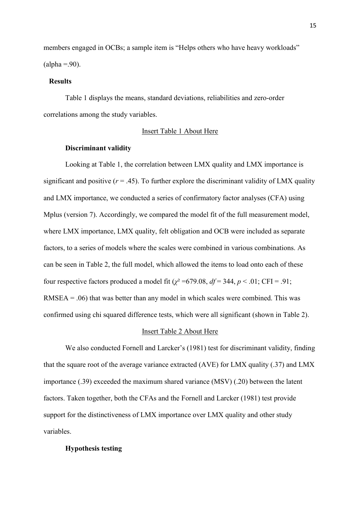members engaged in OCBs; a sample item is "Helps others who have heavy workloads"  $\text{(alpha} = .90)$ .

## **Results**

Table 1 displays the means, standard deviations, reliabilities and zero-order correlations among the study variables.

#### Insert Table 1 About Here

#### **Discriminant validity**

Looking at Table 1, the correlation between LMX quality and LMX importance is significant and positive  $(r = .45)$ . To further explore the discriminant validity of LMX quality and LMX importance, we conducted a series of confirmatory factor analyses (CFA) using Mplus (version 7). Accordingly, we compared the model fit of the full measurement model, where LMX importance, LMX quality, felt obligation and OCB were included as separate factors, to a series of models where the scales were combined in various combinations. As can be seen in Table 2, the full model, which allowed the items to load onto each of these four respective factors produced a model fit ( $\chi^2$  =679.08,  $df$  = 344,  $p < .01$ ; CFI = .91;  $RMSEA = .06$ ) that was better than any model in which scales were combined. This was confirmed using chi squared difference tests, which were all significant (shown in Table 2).

#### Insert Table 2 About Here

We also conducted Fornell and Larcker's (1981) test for discriminant validity, finding that the square root of the average variance extracted (AVE) for LMX quality (.37) and LMX importance (.39) exceeded the maximum shared variance (MSV) (.20) between the latent factors. Taken together, both the CFAs and the Fornell and Larcker (1981) test provide support for the distinctiveness of LMX importance over LMX quality and other study variables.

## **Hypothesis testing**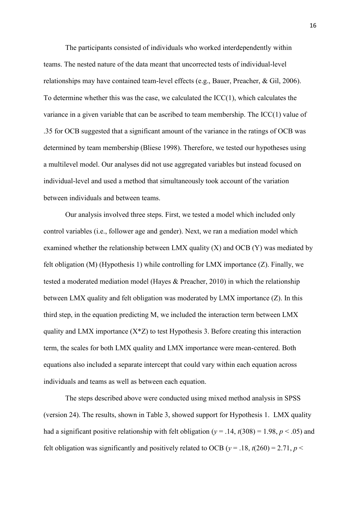The participants consisted of individuals who worked interdependently within teams. The nested nature of the data meant that uncorrected tests of individual-level relationships may have contained team-level effects (e.g., Bauer, Preacher, & Gil, 2006). To determine whether this was the case, we calculated the ICC(1), which calculates the variance in a given variable that can be ascribed to team membership. The ICC(1) value of .35 for OCB suggested that a significant amount of the variance in the ratings of OCB was determined by team membership (Bliese 1998). Therefore, we tested our hypotheses using a multilevel model. Our analyses did not use aggregated variables but instead focused on individual-level and used a method that simultaneously took account of the variation between individuals and between teams.

Our analysis involved three steps. First, we tested a model which included only control variables (i.e., follower age and gender). Next, we ran a mediation model which examined whether the relationship between LMX quality  $(X)$  and OCB  $(Y)$  was mediated by felt obligation (M) (Hypothesis 1) while controlling for LMX importance (Z). Finally, we tested a moderated mediation model (Hayes & Preacher, 2010) in which the relationship between LMX quality and felt obligation was moderated by LMX importance (Z). In this third step, in the equation predicting M, we included the interaction term between LMX quality and LMX importance  $(X^*Z)$  to test Hypothesis 3. Before creating this interaction term, the scales for both LMX quality and LMX importance were mean-centered. Both equations also included a separate intercept that could vary within each equation across individuals and teams as well as between each equation.

The steps described above were conducted using mixed method analysis in SPSS (version 24). The results, shown in Table 3, showed support for Hypothesis 1. LMX quality had a significant positive relationship with felt obligation ( $y = .14$ ,  $t(308) = 1.98$ ,  $p < .05$ ) and felt obligation was significantly and positively related to OCB ( $v = .18$ ,  $t(260) = 2.71$ ,  $p <$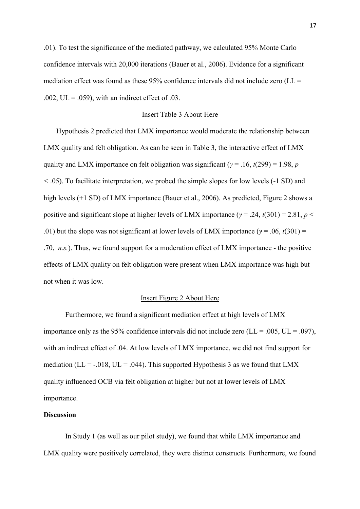.01). To test the significance of the mediated pathway, we calculated 95% Monte Carlo confidence intervals with 20,000 iterations (Bauer et al., 2006). Evidence for a significant mediation effect was found as these  $95\%$  confidence intervals did not include zero (LL = .002,  $UL = .059$ , with an indirect effect of .03.

#### Insert Table 3 About Here

 Hypothesis 2 predicted that LMX importance would moderate the relationship between LMX quality and felt obligation. As can be seen in Table 3, the interactive effect of LMX quality and LMX importance on felt obligation was significant (*γ* = .16, *t*(299) = 1.98, *p <* .05). To facilitate interpretation, we probed the simple slopes for low levels (-1 SD) and high levels (+1 SD) of LMX importance (Bauer et al., 2006). As predicted, Figure 2 shows a positive and significant slope at higher levels of LMX importance (*γ* = .24, *t*(301) = 2.81, *p* < .01) but the slope was not significant at lower levels of LMX importance ( $\gamma$  = .06,  $t(301)$  = .70, *n.s.*). Thus, we found support for a moderation effect of LMX importance - the positive effects of LMX quality on felt obligation were present when LMX importance was high but not when it was low.

## Insert Figure 2 About Here

Furthermore, we found a significant mediation effect at high levels of LMX importance only as the 95% confidence intervals did not include zero ( $LL = .005$ ,  $UL = .097$ ), with an indirect effect of .04. At low levels of LMX importance, we did not find support for mediation ( $LL = -0.018$ ,  $UL = 0.044$ ). This supported Hypothesis 3 as we found that LMX quality influenced OCB via felt obligation at higher but not at lower levels of LMX importance.

## **Discussion**

In Study 1 (as well as our pilot study), we found that while LMX importance and LMX quality were positively correlated, they were distinct constructs. Furthermore, we found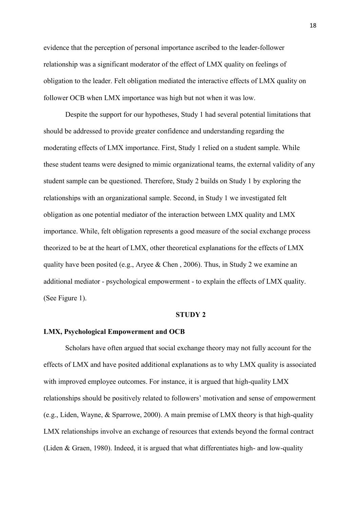evidence that the perception of personal importance ascribed to the leader-follower relationship was a significant moderator of the effect of LMX quality on feelings of obligation to the leader. Felt obligation mediated the interactive effects of LMX quality on follower OCB when LMX importance was high but not when it was low.

Despite the support for our hypotheses, Study 1 had several potential limitations that should be addressed to provide greater confidence and understanding regarding the moderating effects of LMX importance. First, Study 1 relied on a student sample. While these student teams were designed to mimic organizational teams, the external validity of any student sample can be questioned. Therefore, Study 2 builds on Study 1 by exploring the relationships with an organizational sample. Second, in Study 1 we investigated felt obligation as one potential mediator of the interaction between LMX quality and LMX importance. While, felt obligation represents a good measure of the social exchange process theorized to be at the heart of LMX, other theoretical explanations for the effects of LMX quality have been posited (e.g., Aryee & Chen , 2006). Thus, in Study 2 we examine an additional mediator - psychological empowerment - to explain the effects of LMX quality. (See Figure 1).

## **STUDY 2**

#### **LMX, Psychological Empowerment and OCB**

Scholars have often argued that social exchange theory may not fully account for the effects of LMX and have posited additional explanations as to why LMX quality is associated with improved employee outcomes. For instance, it is argued that high-quality LMX relationships should be positively related to followers' motivation and sense of empowerment (e.g., Liden, Wayne, & Sparrowe, 2000). A main premise of LMX theory is that high-quality LMX relationships involve an exchange of resources that extends beyond the formal contract (Liden & Graen, 1980). Indeed, it is argued that what differentiates high- and low-quality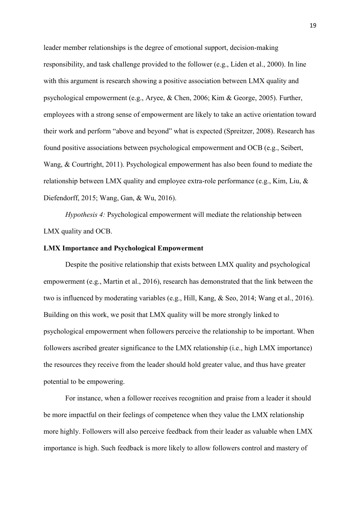leader member relationships is the degree of emotional support, decision-making responsibility, and task challenge provided to the follower (e.g., Liden et al., 2000). In line with this argument is research showing a positive association between LMX quality and psychological empowerment (e.g., Aryee, & Chen, 2006; Kim & George, 2005). Further, employees with a strong sense of empowerment are likely to take an active orientation toward their work and perform "above and beyond" what is expected (Spreitzer, 2008). Research has found positive associations between psychological empowerment and OCB (e.g., Seibert, Wang, & Courtright, 2011). Psychological empowerment has also been found to mediate the relationship between LMX quality and employee extra-role performance (e.g., Kim, Liu, & Diefendorff, 2015; Wang, Gan, & Wu, 2016).

*Hypothesis 4:* Psychological empowerment will mediate the relationship between LMX quality and OCB.

## **LMX Importance and Psychological Empowerment**

Despite the positive relationship that exists between LMX quality and psychological empowerment (e.g., Martin et al., 2016), research has demonstrated that the link between the two is influenced by moderating variables (e.g., Hill, Kang, & Seo, 2014; Wang et al., 2016). Building on this work, we posit that LMX quality will be more strongly linked to psychological empowerment when followers perceive the relationship to be important. When followers ascribed greater significance to the LMX relationship (i.e., high LMX importance) the resources they receive from the leader should hold greater value, and thus have greater potential to be empowering.

For instance, when a follower receives recognition and praise from a leader it should be more impactful on their feelings of competence when they value the LMX relationship more highly. Followers will also perceive feedback from their leader as valuable when LMX importance is high. Such feedback is more likely to allow followers control and mastery of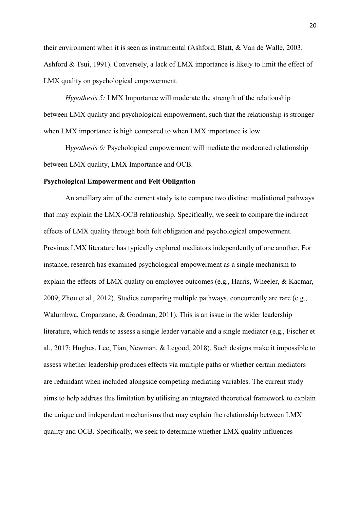their environment when it is seen as instrumental (Ashford, Blatt, & Van de Walle, 2003; Ashford & Tsui, 1991). Conversely, a lack of LMX importance is likely to limit the effect of LMX quality on psychological empowerment.

*Hypothesis 5:* LMX Importance will moderate the strength of the relationship between LMX quality and psychological empowerment, such that the relationship is stronger when LMX importance is high compared to when LMX importance is low.

H*ypothesis 6:* Psychological empowerment will mediate the moderated relationship between LMX quality, LMX Importance and OCB.

#### **Psychological Empowerment and Felt Obligation**

An ancillary aim of the current study is to compare two distinct mediational pathways that may explain the LMX-OCB relationship. Specifically, we seek to compare the indirect effects of LMX quality through both felt obligation and psychological empowerment. Previous LMX literature has typically explored mediators independently of one another. For instance, research has examined psychological empowerment as a single mechanism to explain the effects of LMX quality on employee outcomes (e.g., Harris, Wheeler, & Kacmar, 2009; Zhou et al., 2012). Studies comparing multiple pathways, concurrently are rare (e.g., Walumbwa, Cropanzano, & Goodman, 2011). This is an issue in the wider leadership literature, which tends to assess a single leader variable and a single mediator (e.g., Fischer et al., 2017; Hughes, Lee, Tian, Newman, & Legood, 2018). Such designs make it impossible to assess whether leadership produces effects via multiple paths or whether certain mediators are redundant when included alongside competing mediating variables. The current study aims to help address this limitation by utilising an integrated theoretical framework to explain the unique and independent mechanisms that may explain the relationship between LMX quality and OCB. Specifically, we seek to determine whether LMX quality influences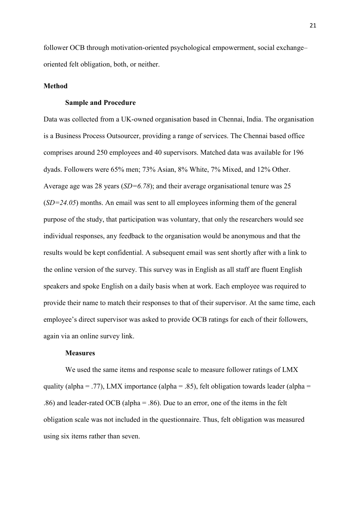follower OCB through motivation-oriented psychological empowerment, social exchange– oriented felt obligation, both, or neither.

#### **Method**

## **Sample and Procedure**

Data was collected from a UK-owned organisation based in Chennai, India. The organisation is a Business Process Outsourcer, providing a range of services. The Chennai based office comprises around 250 employees and 40 supervisors. Matched data was available for 196 dyads. Followers were 65% men; 73% Asian, 8% White, 7% Mixed, and 12% Other. Average age was 28 years (*SD=6.78*); and their average organisational tenure was 25 (*SD=24.05*) months. An email was sent to all employees informing them of the general purpose of the study, that participation was voluntary, that only the researchers would see individual responses, any feedback to the organisation would be anonymous and that the results would be kept confidential. A subsequent email was sent shortly after with a link to the online version of the survey. This survey was in English as all staff are fluent English speakers and spoke English on a daily basis when at work. Each employee was required to provide their name to match their responses to that of their supervisor. At the same time, each employee's direct supervisor was asked to provide OCB ratings for each of their followers, again via an online survey link.

#### **Measures**

We used the same items and response scale to measure follower ratings of LMX quality (alpha = .77), LMX importance (alpha = .85), felt obligation towards leader (alpha = .86) and leader-rated OCB (alpha = .86). Due to an error, one of the items in the felt obligation scale was not included in the questionnaire. Thus, felt obligation was measured using six items rather than seven.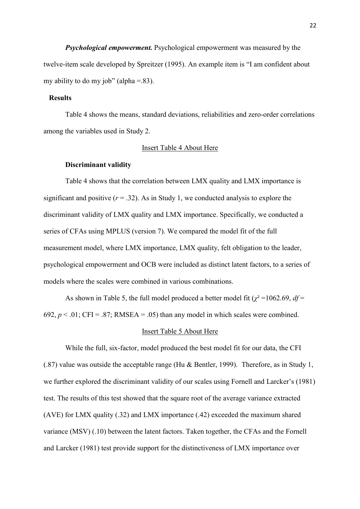*Psychological empowerment.* Psychological empowerment was measured by the twelve-item scale developed by Spreitzer (1995). An example item is "I am confident about my ability to do my job" (alpha  $= 83$ ).

## **Results**

Table 4 shows the means, standard deviations, reliabilities and zero-order correlations among the variables used in Study 2.

#### Insert Table 4 About Here

#### **Discriminant validity**

Table 4 shows that the correlation between LMX quality and LMX importance is significant and positive  $(r = .32)$ . As in Study 1, we conducted analysis to explore the discriminant validity of LMX quality and LMX importance. Specifically, we conducted a series of CFAs using MPLUS (version 7). We compared the model fit of the full measurement model, where LMX importance, LMX quality, felt obligation to the leader, psychological empowerment and OCB were included as distinct latent factors, to a series of models where the scales were combined in various combinations.

As shown in Table 5, the full model produced a better model fit ( $\chi^2$ =1062.69, *df* = 692,  $p < 0.01$ ; CFI = .87; RMSEA = .05) than any model in which scales were combined.

#### Insert Table 5 About Here

While the full, six-factor, model produced the best model fit for our data, the CFI (.87) value was outside the acceptable range (Hu & Bentler, 1999). Therefore, as in Study 1, we further explored the discriminant validity of our scales using Fornell and Larcker's (1981) test. The results of this test showed that the square root of the average variance extracted (AVE) for LMX quality (.32) and LMX importance (.42) exceeded the maximum shared variance (MSV) (.10) between the latent factors. Taken together, the CFAs and the Fornell and Larcker (1981) test provide support for the distinctiveness of LMX importance over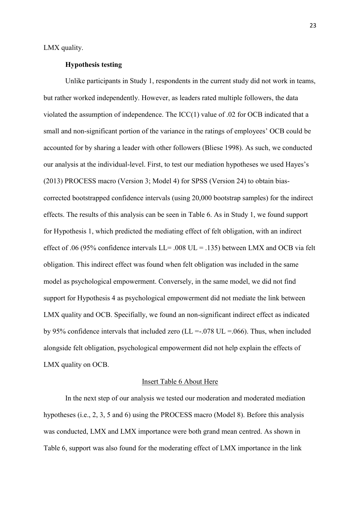LMX quality.

## **Hypothesis testing**

Unlike participants in Study 1, respondents in the current study did not work in teams, but rather worked independently. However, as leaders rated multiple followers, the data violated the assumption of independence. The ICC(1) value of .02 for OCB indicated that a small and non-significant portion of the variance in the ratings of employees' OCB could be accounted for by sharing a leader with other followers (Bliese 1998). As such, we conducted our analysis at the individual-level. First, to test our mediation hypotheses we used Hayes's (2013) PROCESS macro (Version 3; Model 4) for SPSS (Version 24) to obtain biascorrected bootstrapped confidence intervals (using 20,000 bootstrap samples) for the indirect effects. The results of this analysis can be seen in Table 6. As in Study 1, we found support for Hypothesis 1, which predicted the mediating effect of felt obligation, with an indirect effect of .06 (95% confidence intervals  $LL = .008$  UL = .135) between LMX and OCB via felt obligation. This indirect effect was found when felt obligation was included in the same model as psychological empowerment. Conversely, in the same model, we did not find support for Hypothesis 4 as psychological empowerment did not mediate the link between LMX quality and OCB. Specifially, we found an non-significant indirect effect as indicated by 95% confidence intervals that included zero ( $LL = -0.078$  UL = 0.066). Thus, when included alongside felt obligation, psychological empowerment did not help explain the effects of LMX quality on OCB.

#### Insert Table 6 About Here

In the next step of our analysis we tested our moderation and moderated mediation hypotheses (i.e., 2, 3, 5 and 6) using the PROCESS macro (Model 8). Before this analysis was conducted, LMX and LMX importance were both grand mean centred. As shown in Table 6, support was also found for the moderating effect of LMX importance in the link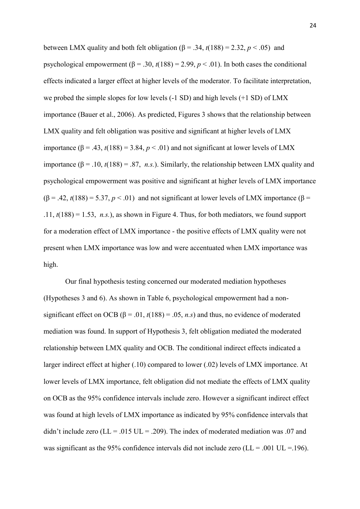between LMX quality and both felt obligation ( $\beta$  = .34,  $t(188)$  = 2.32,  $p < .05$ ) and psychological empowerment ( $\beta$  = .30,  $t(188)$  = 2.99,  $p < .01$ ). In both cases the conditional effects indicated a larger effect at higher levels of the moderator. To facilitate interpretation, we probed the simple slopes for low levels (-1 SD) and high levels (+1 SD) of LMX importance (Bauer et al., 2006). As predicted, Figures 3 shows that the relationship between LMX quality and felt obligation was positive and significant at higher levels of LMX importance  $(\beta = .43, t(188) = 3.84, p < .01)$  and not significant at lower levels of LMX importance  $(\beta = .10, t(188) = .87, n.s.)$ . Similarly, the relationship between LMX quality and psychological empowerment was positive and significant at higher levels of LMX importance  $(β = .42, t(188) = 5.37, p < .01)$  and not significant at lower levels of LMX importance  $(β = )$  $.11, t(188) = 1.53, n.s.$ ), as shown in Figure 4. Thus, for both mediators, we found support for a moderation effect of LMX importance - the positive effects of LMX quality were not present when LMX importance was low and were accentuated when LMX importance was high.

Our final hypothesis testing concerned our moderated mediation hypotheses (Hypotheses 3 and 6). As shown in Table 6, psychological empowerment had a nonsignificant effect on OCB ( $\beta$  = .01,  $t(188)$  = .05, *n.s*) and thus, no evidence of moderated mediation was found. In support of Hypothesis 3, felt obligation mediated the moderated relationship between LMX quality and OCB. The conditional indirect effects indicated a larger indirect effect at higher (.10) compared to lower (.02) levels of LMX importance. At lower levels of LMX importance, felt obligation did not mediate the effects of LMX quality on OCB as the 95% confidence intervals include zero. However a significant indirect effect was found at high levels of LMX importance as indicated by 95% confidence intervals that didn't include zero ( $LL = .015$  UL = .209). The index of moderated mediation was .07 and was significant as the 95% confidence intervals did not include zero ( $LL = .001$  UL = .196).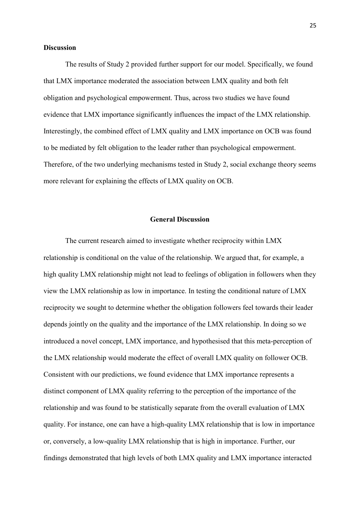#### **Discussion**

The results of Study 2 provided further support for our model. Specifically, we found that LMX importance moderated the association between LMX quality and both felt obligation and psychological empowerment. Thus, across two studies we have found evidence that LMX importance significantly influences the impact of the LMX relationship. Interestingly, the combined effect of LMX quality and LMX importance on OCB was found to be mediated by felt obligation to the leader rather than psychological empowerment. Therefore, of the two underlying mechanisms tested in Study 2, social exchange theory seems more relevant for explaining the effects of LMX quality on OCB.

## **General Discussion**

The current research aimed to investigate whether reciprocity within LMX relationship is conditional on the value of the relationship. We argued that, for example, a high quality LMX relationship might not lead to feelings of obligation in followers when they view the LMX relationship as low in importance. In testing the conditional nature of LMX reciprocity we sought to determine whether the obligation followers feel towards their leader depends jointly on the quality and the importance of the LMX relationship. In doing so we introduced a novel concept, LMX importance, and hypothesised that this meta-perception of the LMX relationship would moderate the effect of overall LMX quality on follower OCB. Consistent with our predictions, we found evidence that LMX importance represents a distinct component of LMX quality referring to the perception of the importance of the relationship and was found to be statistically separate from the overall evaluation of LMX quality. For instance, one can have a high-quality LMX relationship that is low in importance or, conversely, a low-quality LMX relationship that is high in importance. Further, our findings demonstrated that high levels of both LMX quality and LMX importance interacted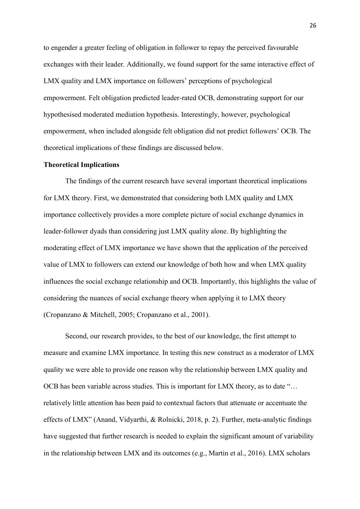to engender a greater feeling of obligation in follower to repay the perceived favourable exchanges with their leader. Additionally, we found support for the same interactive effect of LMX quality and LMX importance on followers' perceptions of psychological empowerment. Felt obligation predicted leader-rated OCB, demonstrating support for our hypothesised moderated mediation hypothesis. Interestingly, however, psychological empowerment, when included alongside felt obligation did not predict followers' OCB. The theoretical implications of these findings are discussed below.

#### **Theoretical Implications**

The findings of the current research have several important theoretical implications for LMX theory. First, we demonstrated that considering both LMX quality and LMX importance collectively provides a more complete picture of social exchange dynamics in leader-follower dyads than considering just LMX quality alone. By highlighting the moderating effect of LMX importance we have shown that the application of the perceived value of LMX to followers can extend our knowledge of both how and when LMX quality influences the social exchange relationship and OCB. Importantly, this highlights the value of considering the nuances of social exchange theory when applying it to LMX theory (Cropanzano & Mitchell, 2005; Cropanzano et al., 2001).

Second, our research provides, to the best of our knowledge, the first attempt to measure and examine LMX importance. In testing this new construct as a moderator of LMX quality we were able to provide one reason why the relationship between LMX quality and OCB has been variable across studies. This is important for LMX theory, as to date "… relatively little attention has been paid to contextual factors that attenuate or accentuate the effects of LMX" (Anand, Vidyarthi, & Rolnicki, 2018, p. 2). Further, meta-analytic findings have suggested that further research is needed to explain the significant amount of variability in the relationship between LMX and its outcomes (e.g., Martin et al., 2016). LMX scholars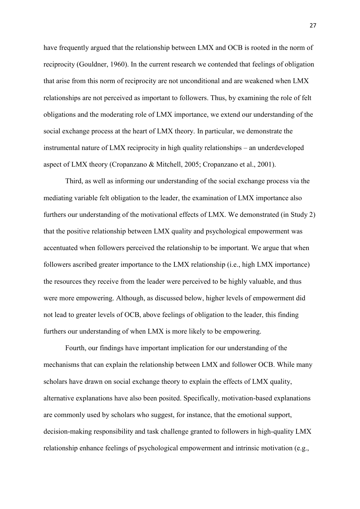have frequently argued that the relationship between LMX and OCB is rooted in the norm of reciprocity (Gouldner, 1960). In the current research we contended that feelings of obligation that arise from this norm of reciprocity are not unconditional and are weakened when LMX relationships are not perceived as important to followers. Thus, by examining the role of felt obligations and the moderating role of LMX importance, we extend our understanding of the social exchange process at the heart of LMX theory. In particular, we demonstrate the instrumental nature of LMX reciprocity in high quality relationships – an underdeveloped aspect of LMX theory (Cropanzano & Mitchell, 2005; Cropanzano et al., 2001).

Third, as well as informing our understanding of the social exchange process via the mediating variable felt obligation to the leader, the examination of LMX importance also furthers our understanding of the motivational effects of LMX. We demonstrated (in Study 2) that the positive relationship between LMX quality and psychological empowerment was accentuated when followers perceived the relationship to be important. We argue that when followers ascribed greater importance to the LMX relationship (i.e., high LMX importance) the resources they receive from the leader were perceived to be highly valuable, and thus were more empowering. Although, as discussed below, higher levels of empowerment did not lead to greater levels of OCB, above feelings of obligation to the leader, this finding furthers our understanding of when LMX is more likely to be empowering.

Fourth, our findings have important implication for our understanding of the mechanisms that can explain the relationship between LMX and follower OCB. While many scholars have drawn on social exchange theory to explain the effects of LMX quality, alternative explanations have also been posited. Specifically, motivation-based explanations are commonly used by scholars who suggest, for instance, that the emotional support, decision-making responsibility and task challenge granted to followers in high-quality LMX relationship enhance feelings of psychological empowerment and intrinsic motivation (e.g.,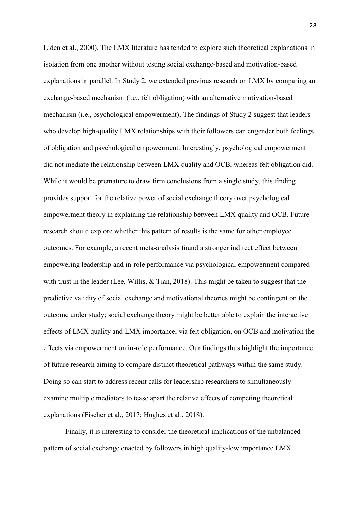Liden et al., 2000). The LMX literature has tended to explore such theoretical explanations in isolation from one another without testing social exchange-based and motivation-based explanations in parallel. In Study 2, we extended previous research on LMX by comparing an exchange-based mechanism (i.e., felt obligation) with an alternative motivation-based mechanism (i.e., psychological empowerment). The findings of Study 2 suggest that leaders who develop high-quality LMX relationships with their followers can engender both feelings of obligation and psychological empowerment. Interestingly, psychological empowerment did not mediate the relationship between LMX quality and OCB, whereas felt obligation did. While it would be premature to draw firm conclusions from a single study, this finding provides support for the relative power of social exchange theory over psychological empowerment theory in explaining the relationship between LMX quality and OCB. Future research should explore whether this pattern of results is the same for other employee outcomes. For example, a recent meta-analysis found a stronger indirect effect between empowering leadership and in-role performance via psychological empowerment compared with trust in the leader (Lee, Willis, & Tian, 2018). This might be taken to suggest that the predictive validity of social exchange and motivational theories might be contingent on the outcome under study; social exchange theory might be better able to explain the interactive effects of LMX quality and LMX importance, via felt obligation, on OCB and motivation the effects via empowerment on in-role performance. Our findings thus highlight the importance of future research aiming to compare distinct theoretical pathways within the same study. Doing so can start to address recent calls for leadership researchers to simultaneously examine multiple mediators to tease apart the relative effects of competing theoretical explanations (Fischer et al., 2017; Hughes et al., 2018).

Finally, it is interesting to consider the theoretical implications of the unbalanced pattern of social exchange enacted by followers in high quality-low importance LMX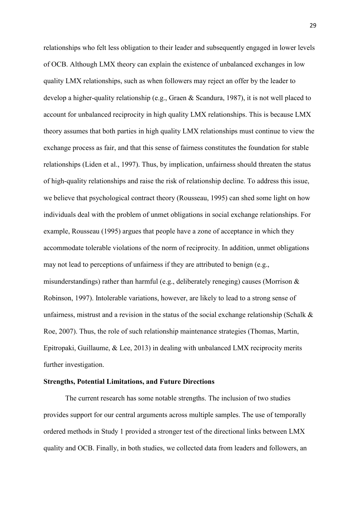relationships who felt less obligation to their leader and subsequently engaged in lower levels of OCB. Although LMX theory can explain the existence of unbalanced exchanges in low quality LMX relationships, such as when followers may reject an offer by the leader to develop a higher-quality relationship (e.g., Graen & Scandura, 1987), it is not well placed to account for unbalanced reciprocity in high quality LMX relationships. This is because LMX theory assumes that both parties in high quality LMX relationships must continue to view the exchange process as fair, and that this sense of fairness constitutes the foundation for stable relationships (Liden et al., 1997). Thus, by implication, unfairness should threaten the status of high-quality relationships and raise the risk of relationship decline. To address this issue, we believe that psychological contract theory (Rousseau, 1995) can shed some light on how individuals deal with the problem of unmet obligations in social exchange relationships. For example, Rousseau (1995) argues that people have a zone of acceptance in which they accommodate tolerable violations of the norm of reciprocity. In addition, unmet obligations may not lead to perceptions of unfairness if they are attributed to benign (e.g., misunderstandings) rather than harmful (e.g., deliberately reneging) causes (Morrison & Robinson, 1997). Intolerable variations, however, are likely to lead to a strong sense of unfairness, mistrust and a revision in the status of the social exchange relationship (Schalk  $\&$ Roe, 2007). Thus, the role of such relationship maintenance strategies (Thomas, Martin, Epitropaki, Guillaume, & Lee, 2013) in dealing with unbalanced LMX reciprocity merits further investigation.

#### **Strengths, Potential Limitations, and Future Directions**

The current research has some notable strengths. The inclusion of two studies provides support for our central arguments across multiple samples. The use of temporally ordered methods in Study 1 provided a stronger test of the directional links between LMX quality and OCB. Finally, in both studies, we collected data from leaders and followers, an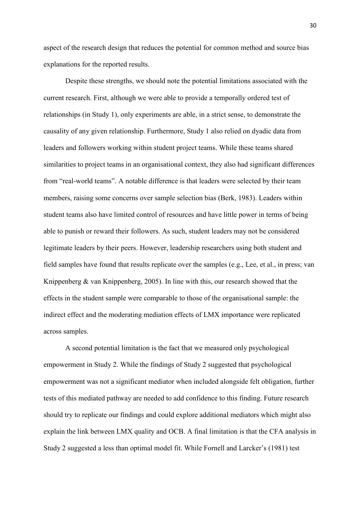aspect of the research design that reduces the potential for common method and source bias explanations for the reported results.

Despite these strengths, we should note the potential limitations associated with the current research. First, although we were able to provide a temporally ordered test of relationships (in Study 1), only experiments are able, in a strict sense, to demonstrate the causality of any given relationship. Furthermore, Study 1 also relied on dyadic data from leaders and followers working within student project teams. While these teams shared similarities to project teams in an organisational context, they also had significant differences from "real-world teams". A notable difference is that leaders were selected by their team members, raising some concerns over sample selection bias (Berk, 1983). Leaders within student teams also have limited control of resources and have little power in terms of being able to punish or reward their followers. As such, student leaders may not be considered legitimate leaders by their peers. However, leadership researchers using both student and field samples have found that results replicate over the samples (e.g., Lee, et al., in press; van Knippenberg & van Knippenberg, 2005). In line with this, our research showed that the effects in the student sample were comparable to those of the organisational sample: the indirect effect and the moderating mediation effects of LMX importance were replicated across samples.

A second potential limitation is the fact that we measured only psychological empowerment in Study 2. While the findings of Study 2 suggested that psychological empowerment was not a significant mediator when included alongside felt obligation, further tests of this mediated pathway are needed to add confidence to this finding. Future research should try to replicate our findings and could explore additional mediators which might also explain the link between LMX quality and OCB. A final limitation is that the CFA analysis in Study 2 suggested a less than optimal model fit. While Fornell and Larcker's (1981) test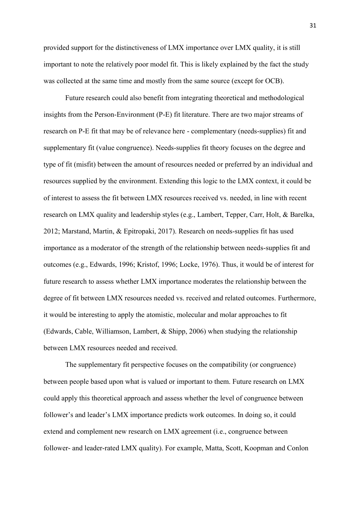provided support for the distinctiveness of LMX importance over LMX quality, it is still important to note the relatively poor model fit. This is likely explained by the fact the study was collected at the same time and mostly from the same source (except for OCB).

Future research could also benefit from integrating theoretical and methodological insights from the Person-Environment (P-E) fit literature. There are two major streams of research on P-E fit that may be of relevance here - complementary (needs-supplies) fit and supplementary fit (value congruence). Needs-supplies fit theory focuses on the degree and type of fit (misfit) between the amount of resources needed or preferred by an individual and resources supplied by the environment. Extending this logic to the LMX context, it could be of interest to assess the fit between LMX resources received vs. needed, in line with recent research on LMX quality and leadership styles (e.g., Lambert, Tepper, Carr, Holt, & Barelka, 2012; Marstand, Martin, & Epitropaki, 2017). Research on needs-supplies fit has used importance as a moderator of the strength of the relationship between needs-supplies fit and outcomes (e.g., Edwards, 1996; Kristof, 1996; Locke, 1976). Thus, it would be of interest for future research to assess whether LMX importance moderates the relationship between the degree of fit between LMX resources needed vs. received and related outcomes. Furthermore, it would be interesting to apply the atomistic, molecular and molar approaches to fit (Edwards, Cable, Williamson, Lambert, & Shipp, 2006) when studying the relationship between LMX resources needed and received.

The supplementary fit perspective focuses on the compatibility (or congruence) between people based upon what is valued or important to them. Future research on LMX could apply this theoretical approach and assess whether the level of congruence between follower's and leader's LMX importance predicts work outcomes. In doing so, it could extend and complement new research on LMX agreement (i.e., congruence between follower- and leader-rated LMX quality). For example, Matta, Scott, Koopman and Conlon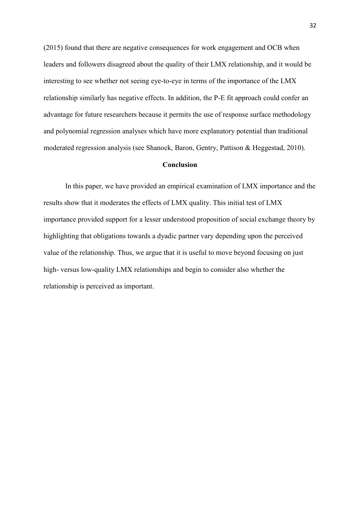(2015) found that there are negative consequences for work engagement and OCB when leaders and followers disagreed about the quality of their LMX relationship, and it would be interesting to see whether not seeing eye-to-eye in terms of the importance of the LMX relationship similarly has negative effects. In addition, the P-E fit approach could confer an advantage for future researchers because it permits the use of response surface methodology and polynomial regression analyses which have more explanatory potential than traditional moderated regression analysis (see Shanock, Baron, Gentry, Pattison & Heggestad, 2010).

#### **Conclusion**

In this paper, we have provided an empirical examination of LMX importance and the results show that it moderates the effects of LMX quality. This initial test of LMX importance provided support for a lesser understood proposition of social exchange theory by highlighting that obligations towards a dyadic partner vary depending upon the perceived value of the relationship. Thus, we argue that it is useful to move beyond focusing on just high- versus low-quality LMX relationships and begin to consider also whether the relationship is perceived as important.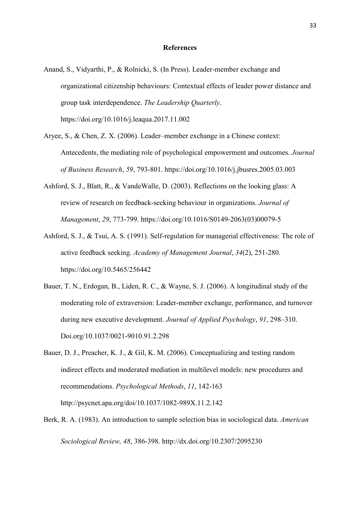#### **References**

- Anand, S., Vidyarthi, P., & Rolnicki, S. (In Press). Leader-member exchange and organizational citizenship behaviours: Contextual effects of leader power distance and group task interdependence. *The Leadership Quarterly*. https://doi.org/10.1016/j.leaqua.2017.11.002
- Aryee, S., & Chen, Z. X. (2006). Leader–member exchange in a Chinese context: Antecedents, the mediating role of psychological empowerment and outcomes. *Journal of Business Research*, *59*, 793-801. https://doi.org/10.1016/j.jbusres.2005.03.003
- Ashford, S. J., Blatt, R., & VandeWalle, D. (2003). Reflections on the looking glass: A review of research on feedback-seeking behaviour in organizations. *Journal of Management*, *29*, 773-799. https://doi.org/10.1016/S0149-2063(03)00079-5
- Ashford, S. J., & Tsui, A. S. (1991). Self-regulation for managerial effectiveness: The role of active feedback seeking. *Academy of Management Journal*, *34*(2), 251-280. https://doi.org/10.5465/256442
- Bauer, T. N., Erdogan, B., Liden, R. C., & Wayne, S. J. (2006). A longitudinal study of the moderating role of extraversion: Leader-member exchange, performance, and turnover during new executive development. *Journal of Applied Psychology*, *91*, 298–310. Doi.org/10.1037/0021-9010.91.2.298
- Bauer, D. J., Preacher, K. J., & Gil, K. M. (2006). Conceptualizing and testing random indirect effects and moderated mediation in multilevel models: new procedures and recommendations. *Psychological Methods*, *11*, 142-163 <http://psycnet.apa.org/doi/10.1037/1082-989X.11.2.142>
- Berk, R. A. (1983). An introduction to sample selection bias in sociological data. *American Sociological Review, 48*, 386-398. [http://dx.doi.org/10.2307/2095230](http://psycnet.apa.org/doi/10.2307/2095230)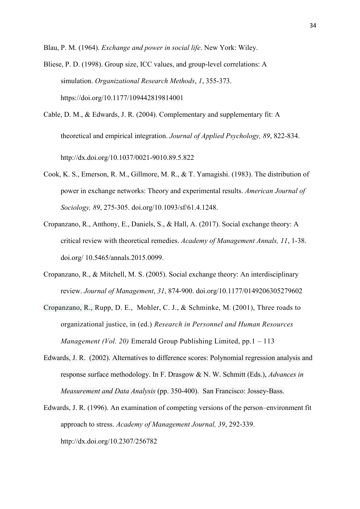Blau, P. M. (1964). *Exchange and power in social life*. New York: Wiley.

- Bliese, P. D. (1998). Group size, ICC values, and group-level correlations: A simulation. *Organizational Research Methods*, *1*, 355-373. https://doi.org/10.1177/109442819814001
- Cable, D. M., & Edwards, J. R. (2004). Complementary and supplementary fit: A theoretical and empirical integration. *Journal of Applied Psychology, 89*, 822-834. [http://dx.doi.org/10.1037/0021-9010.89.5.822](http://psycnet.apa.org/doi/10.1037/0021-9010.89.5.822)
- Cook, K. S., Emerson, R. M., Gillmore, M. R., & T. Yamagishi. (1983). The distribution of power in exchange networks: Theory and experimental results. *American Journal of Sociology, 89*, 275-305. doi.org/10.1093/sf/61.4.1248.
- Cropanzano, R., Anthony, E., Daniels, S., & Hall, A. (2017). Social exchange theory: A critical review with theoretical remedies. *Academy of Management Annals, 11*, 1-38. doi.org/ 10.5465/annals.2015.0099.
- Cropanzano, R., & Mitchell, M. S. (2005). Social exchange theory: An interdisciplinary review. *Journal of Management*, *31*, 874-900. doi.org/10.1177/0149206305279602
- Cropanzano, R., [Rupp, D. E.,](https://www.emeraldinsight.com/author/Rupp%2C+Deborah+E) [Mohler, C. J.,](https://www.emeraldinsight.com/author/Mohler%2C+Carolyn+J) & [Schminke,](https://www.emeraldinsight.com/author/Schminke%2C+Marshall) M. (2001), Three roads to organizational justice, in (ed.) *Research in Personnel and Human Resources Management (Vol. 20)* Emerald Group Publishing Limited, pp.1 – 113
- Edwards, J. R. (2002). Alternatives to difference scores: Polynomial regression analysis and response surface methodology. In F. Drasgow & N. W. Schmitt (Eds.), *Advances in Measurement and Data Analysis* (pp. 350-400). San Francisco: Jossey-Bass.
- Edwards, J. R. (1996). An examination of competing versions of the person–environment fit approach to stress. *Academy of Management Journal, 39*, 292-339. [http://dx.doi.org/10.2307/256782](http://psycnet.apa.org/doi/10.2307/256782)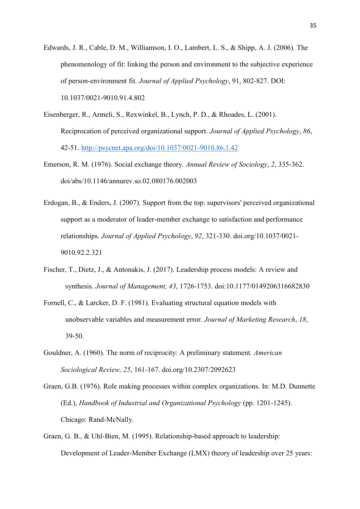- Edwards, J. R., Cable, D. M., Williamson, I. O., Lambert, L. S., & Shipp, A. J. (2006). The phenomenology of fit: linking the person and environment to the subjective experience of person-environment fit. *Journal of Applied Psychology*, 91, 802-827. DOI: 10.1037/0021-9010.91.4.802
- Eisenberger, R., Armeli, S., Rexwinkel, B., Lynch, P. D., & Rhoades, L. (2001). Reciprocation of perceived organizational support. *Journal of Applied Psychology*, *86*, 42-51.<http://psycnet.apa.org/doi/10.1037/0021-9010.86.1.42>
- Emerson, R. M. (1976). Social exchange theory. *Annual Review of Sociology*, *2*, 335-362. doi/abs/10.1146/annurev.so.02.080176.002003
- Erdogan, B., & Enders, J. (2007). Support from the top: supervisors' perceived organizational support as a moderator of leader-member exchange to satisfaction and performance relationships. *Journal of Applied Psychology*, *92*, 321-330. doi.org/10.1037/0021- 9010.92.2.321
- Fischer, T., Dietz, J., & Antonakis, J. (2017). Leadership process models: A review and synthesis. *Journal of Management, 43*, 1726-1753. doi:10.1177/0149206316682830
- Fornell, C., & Larcker, D. F. (1981). Evaluating structural equation models with unobservable variables and measurement error. *Journal of Marketing Research*, *18*, 39-50.
- Gouldner, A. (1960). The norm of reciprocity: A preliminary statement. *American Sociological Review, 25*, 161-167. doi.org/10.2307/2092623
- Graen, G.B. (1976). Role making processes within complex organizations. In: M.D. Dunnette (Ed.), *Handbook of Industrial and Organizational Psychology* (pp. 1201-1245). Chicago: Rand-McNally.
- Graen, G. B., & Uhl-Bien, M. (1995). Relationship-based approach to leadership: Development of Leader-Member Exchange (LMX) theory of leadership over 25 years: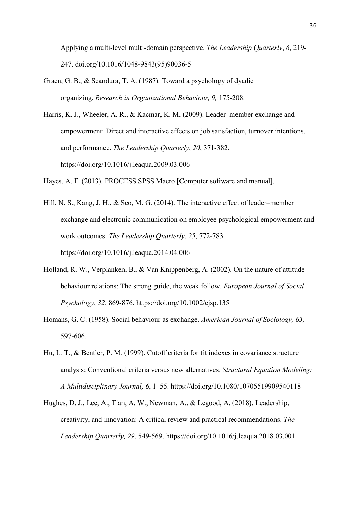Applying a multi-level multi-domain perspective. *The Leadership Quarterly*, *6*, 219- 247. doi.org/10.1016/1048-9843(95)90036-5

Graen, G. B., & Scandura, T. A. (1987). Toward a psychology of dyadic organizing. *Research in Organizational Behaviour, 9,* 175-208.

Harris, K. J., Wheeler, A. R., & Kacmar, K. M. (2009). Leader–member exchange and empowerment: Direct and interactive effects on job satisfaction, turnover intentions, and performance. *The Leadership Quarterly*, *20*, 371-382. https://doi.org/10.1016/j.leaqua.2009.03.006

Hayes, A. F. (2013). PROCESS SPSS Macro [Computer software and manual].

- Hill, N. S., Kang, J. H., & Seo, M. G. (2014). The interactive effect of leader–member exchange and electronic communication on employee psychological empowerment and work outcomes. *The Leadership Quarterly*, *25*, 772-783. https://doi.org/10.1016/j.leaqua.2014.04.006
- Holland, R. W., Verplanken, B., & Van Knippenberg, A. (2002). On the nature of attitude– behaviour relations: The strong guide, the weak follow. *European Journal of Social Psychology*, *32*, 869-876.<https://doi.org/10.1002/ejsp.135>
- Homans, G. C. (1958). Social behaviour as exchange. *American Journal of Sociology, 63,*  597-606.
- Hu, L. T., & Bentler, P. M. (1999). Cutoff criteria for fit indexes in covariance structure analysis: Conventional criteria versus new alternatives. *Structural Equation Modeling: A Multidisciplinary Journal, 6*, 1–55. https://doi.org/10.1080/10705519909540118
- Hughes, D. J., Lee, A., Tian, A. W., Newman, A., & Legood, A. (2018). Leadership, creativity, and innovation: A critical review and practical recommendations. *The Leadership Quarterly, 29*, 549-569. https://doi.org/10.1016/j.leaqua.2018.03.001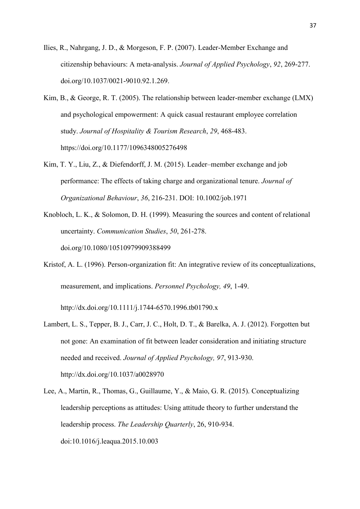- Ilies, R., Nahrgang, J. D., & Morgeson, F. P. (2007). Leader-Member Exchange and citizenship behaviours: A meta-analysis. *Journal of Applied Psychology*, *92*, 269-277. doi.org/10.1037/0021-9010.92.1.269.
- Kim, B., & George, R. T. (2005). The relationship between leader-member exchange (LMX) and psychological empowerment: A quick casual restaurant employee correlation study. *Journal of Hospitality & Tourism Research*, *29*, 468-483. https://doi.org/10.1177/1096348005276498
- Kim, T. Y., Liu, Z., & Diefendorff, J. M. (2015). Leader–member exchange and job performance: The effects of taking charge and organizational tenure. *Journal of Organizational Behaviour*, *36*, 216-231. DOI: 10.1002/job.1971
- Knobloch, L. K., & Solomon, D. H. (1999). Measuring the sources and content of relational uncertainty. *Communication Studies*, *50*, 261-278. doi.org/10.1080/10510979909388499
- Kristof, A. L. (1996). Person-organization fit: An integrative review of its conceptualizations, measurement, and implications. *Personnel Psychology, 49*, 1-49.

[http://dx.doi.org/10.1111/j.1744-6570.1996.tb01790.x](http://psycnet.apa.org/doi/10.1111/j.1744-6570.1996.tb01790.x)

- Lambert, L. S., Tepper, B. J., Carr, J. C., Holt, D. T., & Barelka, A. J. (2012). Forgotten but not gone: An examination of fit between leader consideration and initiating structure needed and received. *Journal of Applied Psychology, 97*, 913-930. [http://dx.doi.org/10.1037/a0028970](http://psycnet.apa.org/doi/10.1037/a0028970)
- Lee, A., Martin, R., Thomas, G., Guillaume, Y., & Maio, G. R. (2015). Conceptualizing leadership perceptions as attitudes: Using attitude theory to further understand the leadership process. *The Leadership Quarterly*, 26, 910-934. doi:10.1016/j.leaqua.2015.10.003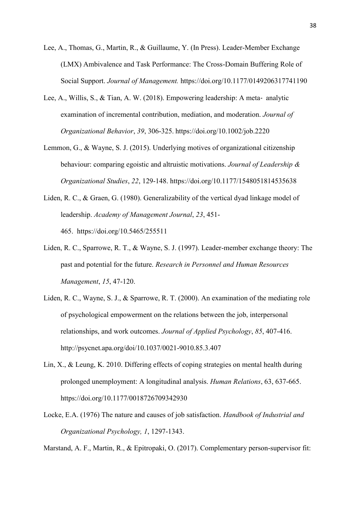- Lee, A., Thomas, G., Martin, R., & Guillaume, Y. (In Press). Leader-Member Exchange (LMX) Ambivalence and Task Performance: The Cross-Domain Buffering Role of Social Support. *Journal of Management.* https://doi.org/10.1177/0149206317741190
- Lee, A., Willis, S., & Tian, A. W. (2018). Empowering leadership: A meta‐ analytic examination of incremental contribution, mediation, and moderation. *Journal of Organizational Behavior*, *39*, 306-325. https://doi.org/10.1002/job.2220
- Lemmon, G., & Wayne, S. J. (2015). Underlying motives of organizational citizenship behaviour: comparing egoistic and altruistic motivations. *Journal of Leadership & Organizational Studies*, *22*, 129-148. https://doi.org/10.1177/1548051814535638
- Liden, R. C., & Graen, G. (1980). Generalizability of the vertical dyad linkage model of leadership. *Academy of Management Journal*, *23*, 451- 465. https://doi.org/10.5465/255511
- Liden, R. C., Sparrowe, R. T., & Wayne, S. J. (1997). Leader-member exchange theory: The past and potential for the future. *Research in Personnel and Human Resources Management*, *15*, 47-120.
- Liden, R. C., Wayne, S. J., & Sparrowe, R. T. (2000). An examination of the mediating role of psychological empowerment on the relations between the job, interpersonal relationships, and work outcomes. *Journal of Applied Psychology*, *85*, 407-416. http://psycnet.apa.org/doi/10.1037/0021-9010.85.3.407
- Lin, X., & Leung, K. 2010. Differing effects of coping strategies on mental health during prolonged unemployment: A longitudinal analysis. *Human Relations*, 63, 637-665. <https://doi.org/10.1177/0018726709342930>
- Locke, E.A. (1976) The nature and causes of job satisfaction. *Handbook of Industrial and Organizational Psychology, 1*, 1297-1343.

Marstand, A. F., Martin, R., & Epitropaki, O. (2017). Complementary person-supervisor fit: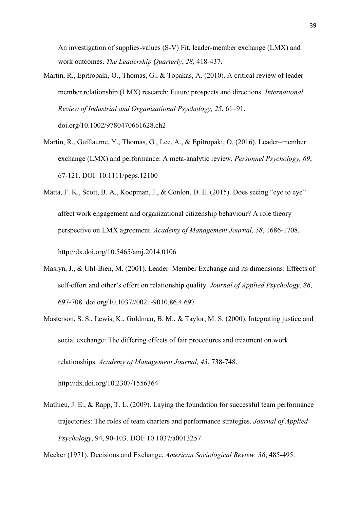An investigation of supplies-values (S-V) Fit, leader-member exchange (LMX) and work outcomes. *The Leadership Quarterly*, *28*, 418-437.

- Martin, R., Epitropaki, O., Thomas, G., & Topakas, A. (2010). A critical review of leader– member relationship (LMX) research: Future prospects and directions. *International Review of Industrial and Organizational Psychology, 25*, 61–91. doi.org/10.1002/9780470661628.ch2
- Martin, R., Guillaume, Y., Thomas, G., Lee, A., & Epitropaki, O. (2016). Leader–member exchange (LMX) and performance: A meta-analytic review. *Personnel Psychology, 69*, 67-121. DOI: 10.1111/peps.12100
- Matta, F. K., Scott, B. A., Koopman, J., & Conlon, D. E. (2015). Does seeing "eye to eye" affect work engagement and organizational citizenship behaviour? A role theory perspective on LMX agreement. *Academy of Management Journal, 58*, 1686-1708. [http://dx.doi.org/10.5465/amj.2014.0106](http://psycnet.apa.org/doi/10.5465/amj.2014.0106)
- Maslyn, J., & Uhl-Bien, M. (2001). Leader–Member Exchange and its dimensions: Effects of self-effort and other's effort on relationship quality. *Journal of Applied Psychology*, *86*, 697-708. doi.org/10.1037//0021-9010.86.4.697
- Masterson, S. S., Lewis, K., Goldman, B. M., & Taylor, M. S. (2000). Integrating justice and social exchange: The differing effects of fair procedures and treatment on work relationships. *Academy of Management Journal, 43*, 738-748.

[http://dx.doi.org/10.2307/1556364](http://psycnet.apa.org/doi/10.2307/1556364)

Mathieu, J. E., & Rapp, T. L. (2009). Laying the foundation for successful team performance trajectories: The roles of team charters and performance strategies. *Journal of Applied Psychology*, 94, 90-103. DOI: 10.1037/a0013257

Meeker (1971). Decisions and Exchange. *American Sociological Review, 36*, 485-495.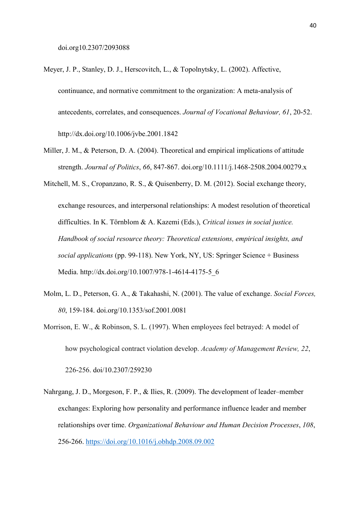- Meyer, J. P., Stanley, D. J., Herscovitch, L., & Topolnytsky, L. (2002). Affective, continuance, and normative commitment to the organization: A meta-analysis of antecedents, correlates, and consequences. *Journal of Vocational Behaviour, 61*, 20-52. <http://dx.doi.org/10.1006/jvbe.2001.1842>
- Miller, J. M., & Peterson, D. A. (2004). Theoretical and empirical implications of attitude strength. *Journal of Politics*, *66*, 847-867. doi.org/10.1111/j.1468-2508.2004.00279.x
- Mitchell, M. S., Cropanzano, R. S., & Quisenberry, D. M. (2012). Social exchange theory, exchange resources, and interpersonal relationships: A modest resolution of theoretical difficulties. In K. Törnblom & A. Kazemi (Eds.), *Critical issues in social justice. Handbook of social resource theory: Theoretical extensions, empirical insights, and social applications* (pp. 99-118). New York, NY, US: Springer Science + Business Media. [http://dx.doi.org/10.1007/978-1-4614-4175-5\\_6](http://psycnet.apa.org/doi/10.1007/978-1-4614-4175-5_6)
- Molm, L. D., Peterson, G. A., & Takahashi, N. (2001). The value of exchange. *Social Forces, 80*, 159-184. doi.org/10.1353/sof.2001.0081
- Morrison, E. W., & Robinson, S. L. (1997). When employees feel betrayed: A model of how psychological contract violation develop. *Academy of Management Review, 22*, 226-256. doi/10.2307/259230
- Nahrgang, J. D., Morgeson, F. P., & Ilies, R. (2009). The development of leader–member exchanges: Exploring how personality and performance influence leader and member relationships over time. *Organizational Behaviour and Human Decision Processes*, *108*, 256-266. https://doi.org/10.1016/j.obhdp.2008.09.002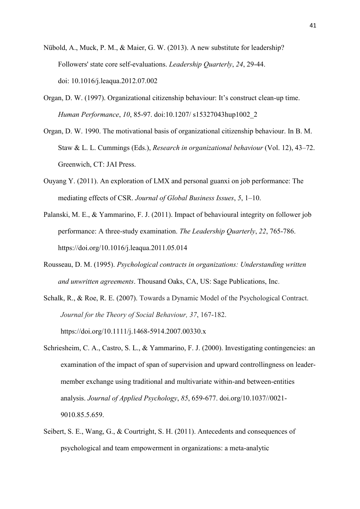- Nübold, A., Muck, P. M., & Maier, G. W. (2013). A new substitute for leadership? Followers' state core self-evaluations. *Leadership Quarterly*, *24*, 29-44. doi: [10.1016/j.leaqua.2012.07.002](https://doi.org/10.1016/j.leaqua.2012.07.002)
- Organ, D. W. (1997). Organizational citizenship behaviour: It's construct clean-up time. *Human Performance*, *10*, 85-97. doi:10.1207/ s15327043hup1002\_2
- Organ, D. W. 1990. The motivational basis of organizational citizenship behaviour. In B. M. Staw & L. L. Cummings (Eds.), *Research in organizational behaviour* (Vol. 12), 43–72. Greenwich, CT: JAI Press.
- Ouyang Y. (2011). An exploration of LMX and personal guanxi on job performance: The mediating effects of CSR. *Journal of Global Business Issues*, *5*, 1–10.
- Palanski, M. E., & Yammarino, F. J. (2011). Impact of behavioural integrity on follower job performance: A three-study examination. *The Leadership Quarterly*, *22*, 765-786. https://doi.org/10.1016/j.leaqua.2011.05.014
- Rousseau, D. M. (1995). *Psychological contracts in organizations: Understanding written and unwritten agreements*. Thousand Oaks, CA, US: Sage Publications, Inc.
- Schalk, R., & Roe, R. E. (2007). Towards a Dynamic Model of the Psychological Contract. *Journal for the Theory of Social Behaviour, 37*, 167-182. <https://doi.org/10.1111/j.1468-5914.2007.00330.x>
- Schriesheim, C. A., Castro, S. L., & Yammarino, F. J. (2000). Investigating contingencies: an examination of the impact of span of supervision and upward controllingness on leadermember exchange using traditional and multivariate within-and between-entities analysis. *Journal of Applied Psychology*, *85*, 659-677. doi.org/10.1037//0021- 9010.85.5.659.
- Seibert, S. E., Wang, G., & Courtright, S. H. (2011). Antecedents and consequences of psychological and team empowerment in organizations: a meta-analytic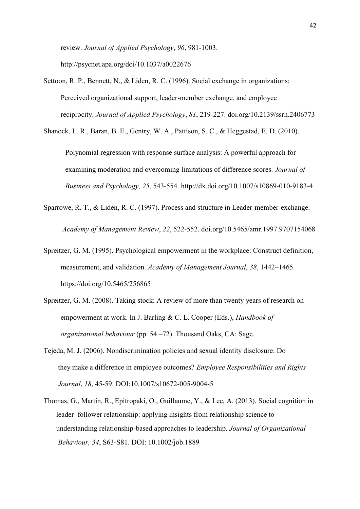review. *Journal of Applied Psychology*, *96*, 981-1003. http://psycnet.apa.org/doi/10.1037/a0022676

Settoon, R. P., Bennett, N., & Liden, R. C. (1996). Social exchange in organizations: Perceived organizational support, leader-member exchange, and employee reciprocity. *Journal of Applied Psychology*, *81*, 219-227. doi.org/10.2139/ssrn.2406773

Shanock, L. R., Baran, B. E., Gentry, W. A., Pattison, S. C., & Heggestad, E. D. (2010).

Polynomial regression with response surface analysis: A powerful approach for examining moderation and overcoming limitations of difference scores. *Journal of Business and Psychology, 25*, 543-554. [http://dx.doi.org/10.1007/s10869-010-9183-4](http://psycnet.apa.org/doi/10.1007/s10869-010-9183-4)

- Sparrowe, R. T., & Liden, R. C. (1997). Process and structure in Leader-member-exchange. *Academy of Management Review*, *22*, 522-552. doi.org/10.5465/amr.1997.9707154068
- Spreitzer, G. M. (1995). Psychological empowerment in the workplace: Construct definition, measurement, and validation. *Academy of Management Journal*, *38*, 1442–1465. https://doi.org/10.5465/256865
- Spreitzer, G. M. (2008). Taking stock: A review of more than twenty years of research on empowerment at work. In J. Barling & C. L. Cooper (Eds.), *Handbook of organizational behaviour* (pp. 54 –72). Thousand Oaks, CA: Sage.
- Tejeda, M. J. (2006). Nondiscrimination policies and sexual identity disclosure: Do they make a difference in employee outcomes? *Employee Responsibilities and Rights Journal*, *18*, 45-59. DOI:10.1007/s10672-005-9004-5
- Thomas, G., Martin, R., Epitropaki, O., Guillaume, Y., & Lee, A. (2013). Social cognition in leader–follower relationship: applying insights from relationship science to understanding relationship-based approaches to leadership. *Journal of Organizational Behaviour, 34*, S63-S81. DOI: [10.1002/job.1889](https://doi.org/10.1002/job.1889)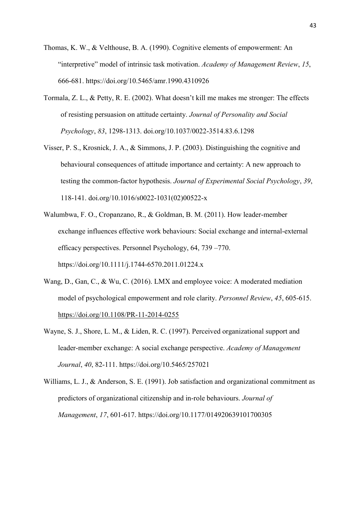- Thomas, K. W., & Velthouse, B. A. (1990). Cognitive elements of empowerment: An "interpretive" model of intrinsic task motivation. *Academy of Management Review*, *15*, 666-681. https://doi.org/10.5465/amr.1990.4310926
- Tormala, Z. L., & Petty, R. E. (2002). What doesn't kill me makes me stronger: The effects of resisting persuasion on attitude certainty. *Journal of Personality and Social Psychology*, *83*, 1298-1313. doi.org/10.1037/0022-3514.83.6.1298
- Visser, P. S., Krosnick, J. A., & Simmons, J. P. (2003). Distinguishing the cognitive and behavioural consequences of attitude importance and certainty: A new approach to testing the common-factor hypothesis. *Journal of Experimental Social Psychology*, *39*, 118-141. doi.org/10.1016/s0022-1031(02)00522-x
- Walumbwa, F. O., Cropanzano, R., & Goldman, B. M. (2011). How leader-member exchange influences effective work behaviours: Social exchange and internal-external efficacy perspectives. Personnel Psychology, 64, 739 –770. https://doi.org/10.1111/j.1744-6570.2011.01224.x
- Wang, D., Gan, C., & Wu, C. (2016). LMX and employee voice: A moderated mediation model of psychological empowerment and role clarity. *Personnel Review*, *45*, 605-615. <https://doi.org/10.1108/PR-11-2014-0255>
- Wayne, S. J., Shore, L. M., & Liden, R. C. (1997). Perceived organizational support and leader-member exchange: A social exchange perspective. *Academy of Management Journal*, *40*, 82-111. https://doi.org/10.5465/257021
- Williams, L. J., & Anderson, S. E. (1991). Job satisfaction and organizational commitment as predictors of organizational citizenship and in-role behaviours. *Journal of Management*, *17*, 601-617. https://doi.org/10.1177/014920639101700305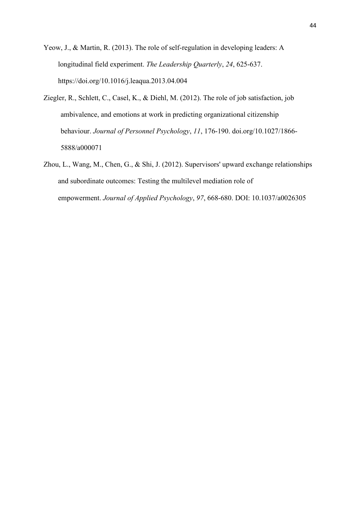Yeow, J., & Martin, R. (2013). The role of self-regulation in developing leaders: A longitudinal field experiment. *The Leadership Quarterly*, *24*, 625-637. https://doi.org/10.1016/j.leaqua.2013.04.004

- Ziegler, R., Schlett, C., Casel, K., & Diehl, M. (2012). The role of job satisfaction, job ambivalence, and emotions at work in predicting organizational citizenship behaviour. *Journal of Personnel Psychology*, *11*, 176-190. doi.org/10.1027/1866- 5888/a000071
- Zhou, L., Wang, M., Chen, G., & Shi, J. (2012). Supervisors' upward exchange relationships and subordinate outcomes: Testing the multilevel mediation role of empowerment. *Journal of Applied Psychology*, *97*, 668-680. DOI: 10.1037/a0026305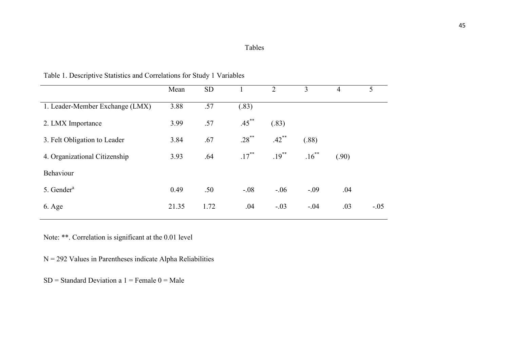|                                 | Mean  | <b>SD</b> |          | $\overline{2}$ | 3        | $\overline{4}$ | 5      |
|---------------------------------|-------|-----------|----------|----------------|----------|----------------|--------|
| 1. Leader-Member Exchange (LMX) | 3.88  | .57       | (.83)    |                |          |                |        |
| 2. LMX Importance               | 3.99  | .57       | $.45***$ | (.83)          |          |                |        |
| 3. Felt Obligation to Leader    | 3.84  | .67       | $.28***$ | $.42***$       | (.88)    |                |        |
| 4. Organizational Citizenship   | 3.93  | .64       | $.17***$ | $.19***$       | $.16***$ | (.90)          |        |
| Behaviour                       |       |           |          |                |          |                |        |
| 5. Gender $a$                   | 0.49  | .50       | $-.08$   | $-.06$         | $-.09$   | .04            |        |
| 6. Age                          | 21.35 | 1.72      | .04      | $-.03$         | $-.04$   | .03            | $-.05$ |

Table 1. Descriptive Statistics and Correlations for Study 1 Variables

Note: \*\*. Correlation is significant at the 0.01 level

 $N = 292$  Values in Parentheses indicate Alpha Reliabilities

 $SD = Standard Deviation a 1 = Female 0 = Male$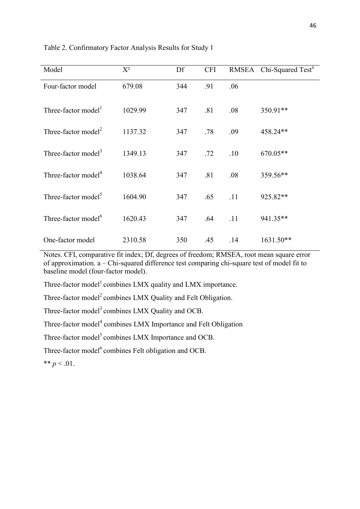| Model                           | $X^2$   | Df  | <b>CFI</b> |     | RMSEA Chi-Squared Test <sup>a</sup> |
|---------------------------------|---------|-----|------------|-----|-------------------------------------|
| Four-factor model               | 679.08  | 344 | .91        | .06 |                                     |
| Three-factor model <sup>1</sup> | 1029.99 | 347 | .81        | .08 | 350.91**                            |
| Three-factor model <sup>2</sup> | 1137.32 | 347 | .78        | .09 | 458.24**                            |
| Three-factor model <sup>3</sup> | 1349.13 | 347 | .72        | .10 | 670.05**                            |
| Three-factor model <sup>4</sup> | 1038.64 | 347 | .81        | .08 | 359.56**                            |
| Three-factor model <sup>5</sup> | 1604.90 | 347 | .65        | .11 | 925.82**                            |
| Three-factor model <sup>6</sup> | 1620.43 | 347 | .64        | .11 | 941.35**                            |
| One-factor model                | 2310.58 | 350 | .45        | .14 | 1631.50**                           |

Table 2. Confirmatory Factor Analysis Results for Study 1

Notes. CFI, comparative fit index; Df, degrees of freedom; RMSEA, root mean square error of approximation. a – Chi-squared difference test comparing chi-square test of model fit to baseline model (four-factor model).

Three-factor model<sup>1</sup> combines LMX quality and LMX importance.

Three-factor model<sup>2</sup> combines LMX Quality and Felt Obligation.

Three-factor model<sup>3</sup> combines LMX Quality and OCB.

Three-factor model<sup>4</sup> combines LMX Importance and Felt Obligation

Three-factor model<sup>5</sup> combines LMX Importance and OCB.

Three-factor model<sup>6</sup> combines Felt obligation and OCB.

\*\*  $p < .01$ .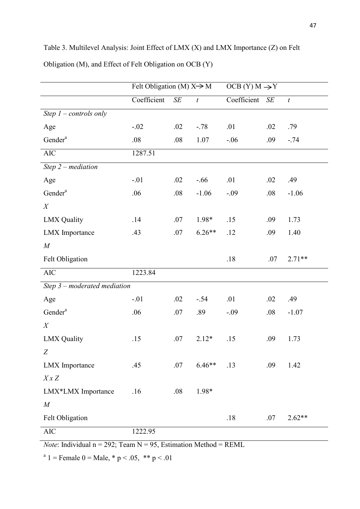|                                | Felt Obligation (M) $X \rightarrow M$ |     |                  | $OCB(Y) M \rightarrow Y$ |        |                  |  |
|--------------------------------|---------------------------------------|-----|------------------|--------------------------|--------|------------------|--|
|                                | Coefficient                           | SE  | $\boldsymbol{t}$ | Coefficient              | $S\!E$ | $\boldsymbol{t}$ |  |
| Step $1$ – controls only       |                                       |     |                  |                          |        |                  |  |
| Age                            | $-.02$                                | .02 | $-.78$           | .01                      | .02    | .79              |  |
| Gender <sup>a</sup>            | .08                                   | .08 | 1.07             | $-.06$                   | .09    | $-.74$           |  |
| $\rm AIC$                      | 1287.51                               |     |                  |                          |        |                  |  |
| Step $2$ – mediation           |                                       |     |                  |                          |        |                  |  |
| Age                            | $-.01$                                | .02 | $-.66$           | .01                      | .02    | .49              |  |
| Gender <sup>a</sup>            | .06                                   | .08 | $-1.06$          | $-.09$                   | .08    | $-1.06$          |  |
| X                              |                                       |     |                  |                          |        |                  |  |
| <b>LMX</b> Quality             | .14                                   | .07 | 1.98*            | .15                      | .09    | 1.73             |  |
| <b>LMX</b> Importance          | .43                                   | .07 | $6.26**$         | .12                      | .09    | 1.40             |  |
| $\cal M$                       |                                       |     |                  |                          |        |                  |  |
| Felt Obligation                |                                       |     |                  | .18                      | .07    | $2.71**$         |  |
| $\rm AIC$                      | 1223.84                               |     |                  |                          |        |                  |  |
| Step $3$ – moderated mediation |                                       |     |                  |                          |        |                  |  |
| Age                            | $-.01$                                | .02 | $-.54$           | .01                      | .02    | .49              |  |
| Gender <sup>a</sup>            | .06                                   | .07 | .89              | $-.09$                   | .08    | $-1.07$          |  |
| X                              |                                       |     |                  |                          |        |                  |  |
| <b>LMX</b> Quality             | .15                                   | .07 | $2.12*$          | .15                      | .09    | 1.73             |  |
| Z                              |                                       |     |                  |                          |        |                  |  |
| <b>LMX</b> Importance          | .45                                   | .07 | $6.46**$         | .13                      | .09    | 1.42             |  |
| $X \times Z$                   |                                       |     |                  |                          |        |                  |  |
| LMX*LMX Importance             | .16                                   | .08 | 1.98*            |                          |        |                  |  |
| $\cal M$                       |                                       |     |                  |                          |        |                  |  |
| Felt Obligation                |                                       |     |                  | .18                      | .07    | $2.62**$         |  |
| $\rm AIC$                      | 1222.95                               |     |                  |                          |        |                  |  |

Table 3. Multilevel Analysis: Joint Effect of LMX (X) and LMX Importance (Z) on Felt Obligation (M), and Effect of Felt Obligation on OCB (Y)

*Note*: Individual  $n = 292$ ; Team  $N = 95$ , Estimation Method = REML

<sup>a</sup> 1 = Female 0 = Male,  $*$  p < .05,  $*$  p < .01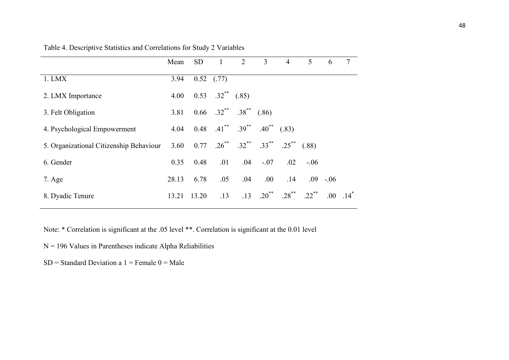|                                         | Mean  | <b>SD</b> |                           | $1 \qquad 2$                                                          | $\overline{\mathbf{3}}$ | $\overline{4}$      | 5        | 6      | $\overline{7}$ |
|-----------------------------------------|-------|-----------|---------------------------|-----------------------------------------------------------------------|-------------------------|---------------------|----------|--------|----------------|
| 1. LMX                                  | 3.94  |           | $0.52$ (.77)              |                                                                       |                         |                     |          |        |                |
| 2. LMX Importance                       | 4.00  |           | $0.53$ $.32^{**}$ $(.85)$ |                                                                       |                         |                     |          |        |                |
| 3. Felt Obligation                      | 3.81  |           |                           | $0.66$ $.32^{**}$ $.38^{**}$                                          | (.86)                   |                     |          |        |                |
| 4. Psychological Empowerment            | 4.04  |           |                           | $0.48$ $0.41$ <sup>**</sup> $0.39$ <sup>**</sup> $0.40$ <sup>**</sup> |                         | (.83)               |          |        |                |
| 5. Organizational Citizenship Behaviour | 3.60  | 0.77      |                           | $.26^{**}$ $.32^{**}$ $.33^{**}$ $.25^{**}$                           |                         |                     | (.88)    |        |                |
| 6. Gender                               | 0.35  | 0.48      | .01                       | .04                                                                   | $-.07$                  | .02                 | $-.06$   |        |                |
| 7. Age                                  | 28.13 | 6.78      | .05                       | .04                                                                   | .00.                    | .14                 | .09      | $-.06$ |                |
| 8. Dyadic Tenure                        | 13.21 | 13.20     | .13                       | .13                                                                   | $.20^{**}$              | $.28$ <sup>**</sup> | $.22$ ** | .00.   | $14^*$         |

## Table 4. Descriptive Statistics and Correlations for Study 2 Variables

Note: \* Correlation is significant at the .05 level \*\*. Correlation is significant at the 0.01 level

 $N = 196$  Values in Parentheses indicate Alpha Reliabilities

 $SD = Standard Deviation a 1 = Female 0 = Male$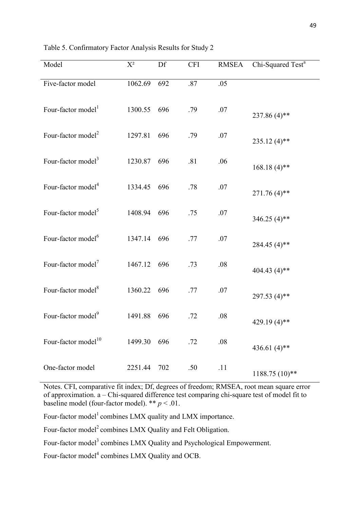| Model                           | $X^2$   | Df  | <b>CFI</b> | <b>RMSEA</b> | Chi-Squared Test <sup>a</sup> |
|---------------------------------|---------|-----|------------|--------------|-------------------------------|
| Five-factor model               | 1062.69 | 692 | .87        | .05          |                               |
| Four-factor model <sup>1</sup>  | 1300.55 | 696 | .79        | .07          | $237.86(4)$ **                |
| Four-factor model <sup>2</sup>  | 1297.81 | 696 | .79        | .07          | $235.12(4)$ **                |
| Four-factor model <sup>3</sup>  | 1230.87 | 696 | .81        | .06          | $168.18(4)$ **                |
| Four-factor model <sup>4</sup>  | 1334.45 | 696 | .78        | .07          | $271.76(4)$ **                |
| Four-factor model <sup>5</sup>  | 1408.94 | 696 | .75        | .07          | 346.25 $(4)$ **               |
| Four-factor model <sup>6</sup>  | 1347.14 | 696 | .77        | .07          | 284.45 (4)**                  |
| Four-factor model <sup>7</sup>  | 1467.12 | 696 | .73        | .08          | 404.43 (4)**                  |
| Four-factor model <sup>8</sup>  | 1360.22 | 696 | .77        | .07          | 297.53 (4)**                  |
| Four-factor model <sup>9</sup>  | 1491.88 | 696 | .72        | .08          | 429.19 (4)**                  |
| Four-factor model <sup>10</sup> | 1499.30 | 696 | .72        | .08          | 436.61 $(4)$ **               |
| One-factor model                | 2251.44 | 702 | .50        | .11          | $1188.75(10)**$               |

Table 5. Confirmatory Factor Analysis Results for Study 2

Notes. CFI, comparative fit index; Df, degrees of freedom; RMSEA, root mean square error of approximation. a – Chi-squared difference test comparing chi-square test of model fit to baseline model (four-factor model). \*\* *p* < .01.

Four-factor model<sup>1</sup> combines LMX quality and LMX importance.

Four-factor model<sup>2</sup> combines LMX Quality and Felt Obligation.

Four-factor model<sup>3</sup> combines LMX Quality and Psychological Empowerment.

Four-factor model<sup>4</sup> combines LMX Quality and OCB.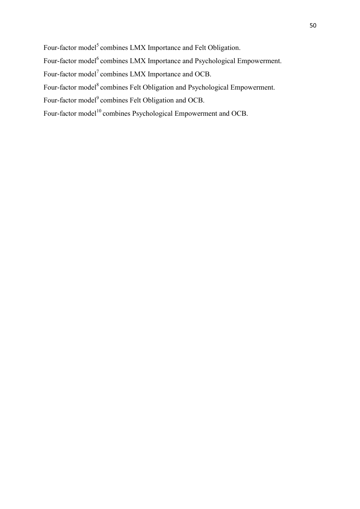Four-factor model<sup>5</sup> combines LMX Importance and Felt Obligation.

Four-factor model<sup>6</sup> combines LMX Importance and Psychological Empowerment.

Four-factor model<sup>7</sup> combines LMX Importance and OCB.

Four-factor model<sup>8</sup> combines Felt Obligation and Psychological Empowerment.

Four-factor model<sup>9</sup> combines Felt Obligation and OCB.

Four-factor model<sup>10</sup> combines Psychological Empowerment and OCB.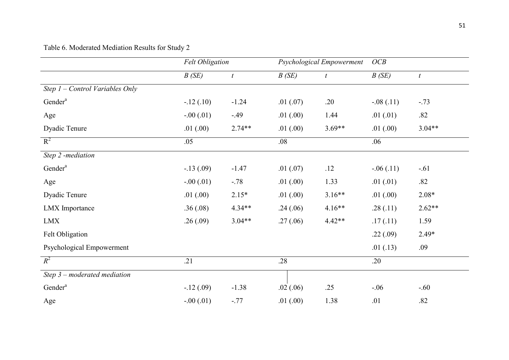## Table 6. Moderated Mediation Results for Study 2

|                                   | <b>Felt Obligation</b> |                  |          | Psychological Empowerment | OCB         |                  |
|-----------------------------------|------------------------|------------------|----------|---------------------------|-------------|------------------|
|                                   | B(SE)                  | $\boldsymbol{t}$ | B(SE)    | $\boldsymbol{t}$          | B(SE)       | $\boldsymbol{t}$ |
| Step $1$ – Control Variables Only |                        |                  |          |                           |             |                  |
| Gender <sup>a</sup>               | $-.12(.10)$            | $-1.24$          | .01(.07) | .20                       | $-.08(.11)$ | $-.73$           |
| Age                               | $-.00(.01)$            | $-49$            | .01(.00) | 1.44                      | .01(01)     | .82              |
| Dyadic Tenure                     | .01(.00)               | $2.74**$         | .01(.00) | $3.69**$                  | .01(.00)    | $3.04**$         |
| $R^2$                             | .05                    |                  | .08      |                           | .06         |                  |
| Step 2 -mediation                 |                        |                  |          |                           |             |                  |
| Gender <sup>a</sup>               | $-.13(.09)$            | $-1.47$          | .01(.07) | .12                       | $-.06(.11)$ | $-.61$           |
| Age                               | $-.00(.01)$            | $-.78$           | .01(.00) | 1.33                      | .01(01)     | .82              |
| Dyadic Tenure                     | .01(.00)               | $2.15*$          | .01(.00) | $3.16**$                  | .01(.00)    | $2.08*$          |
| <b>LMX</b> Importance             | .36(.08)               | $4.34**$         | .24(.06) | $4.16**$                  | .28(.11)    | $2.62**$         |
| <b>LMX</b>                        | .26(.09)               | $3.04**$         | .27(.06) | $4.42**$                  | .17(.11)    | 1.59             |
| Felt Obligation                   |                        |                  |          |                           | .22(.09)    | $2.49*$          |
| Psychological Empowerment         |                        |                  |          |                           | .01(.13)    | .09              |
| $R^2$                             | .21                    |                  | .28      |                           | .20         |                  |
| Step $3$ – moderated mediation    |                        |                  |          |                           |             |                  |
| Gender <sup>a</sup>               | $-.12(.09)$            | $-1.38$          | .02(.06) | .25                       | $-.06$      | $-.60$           |
| Age                               | $-.00(.01)$            | $-.77$           | .01(.00) | 1.38                      | .01         | .82              |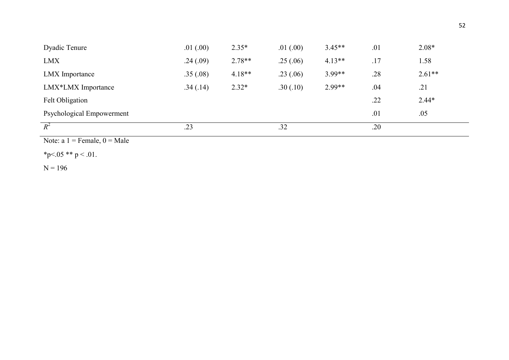| Dyadic Tenure             | .01(.00) | $2.35*$  | .01(.00) | $3.45**$ | .01 | $2.08*$  |
|---------------------------|----------|----------|----------|----------|-----|----------|
| LMX                       | .24(.09) | $2.78**$ | .25(.06) | $4.13**$ | .17 | 1.58     |
| LMX Importance            | .35(.08) | $4.18**$ | .23(.06) | 3.99**   | .28 | $2.61**$ |
| LMX*LMX Importance        | .34(.14) | $2.32*$  | .30(.10) | $2.99**$ | .04 | .21      |
| Felt Obligation           |          |          |          |          | .22 | $2.44*$  |
| Psychological Empowerment |          |          |          |          | .01 | .05      |
| $R^2$                     | .23      |          | .32      |          | .20 |          |

Note:  $a_1$  = Female,  $0$  = Male

\*p<.05 \*\* p < .01.

 $N = 196$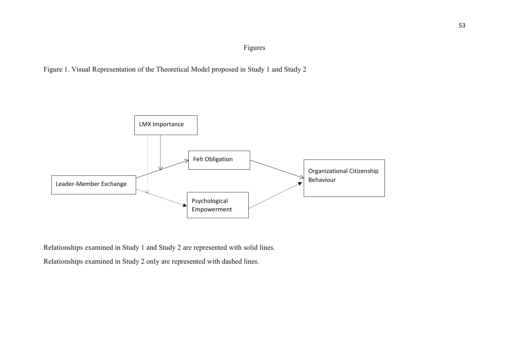## Figures





Relationships examined in Study 1 and Study 2 are represented with solid lines.

Relationships examined in Study 2 only are represented with dashed lines.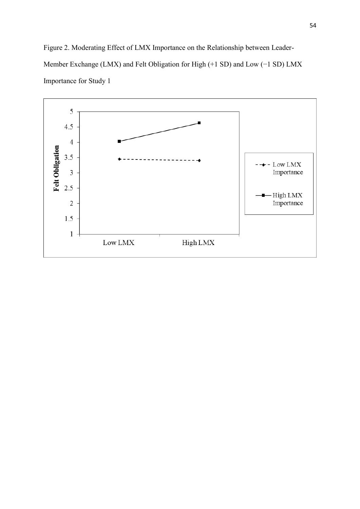Figure 2. Moderating Effect of LMX Importance on the Relationship between Leader-Member Exchange (LMX) and Felt Obligation for High (+1 SD) and Low (−1 SD) LMX Importance for Study 1

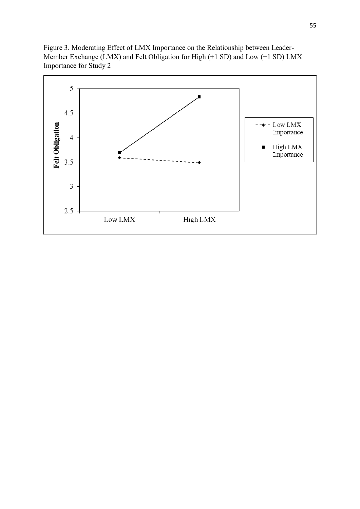Figure 3. Moderating Effect of LMX Importance on the Relationship between Leader-Member Exchange (LMX) and Felt Obligation for High (+1 SD) and Low (−1 SD) LMX Importance for Study 2